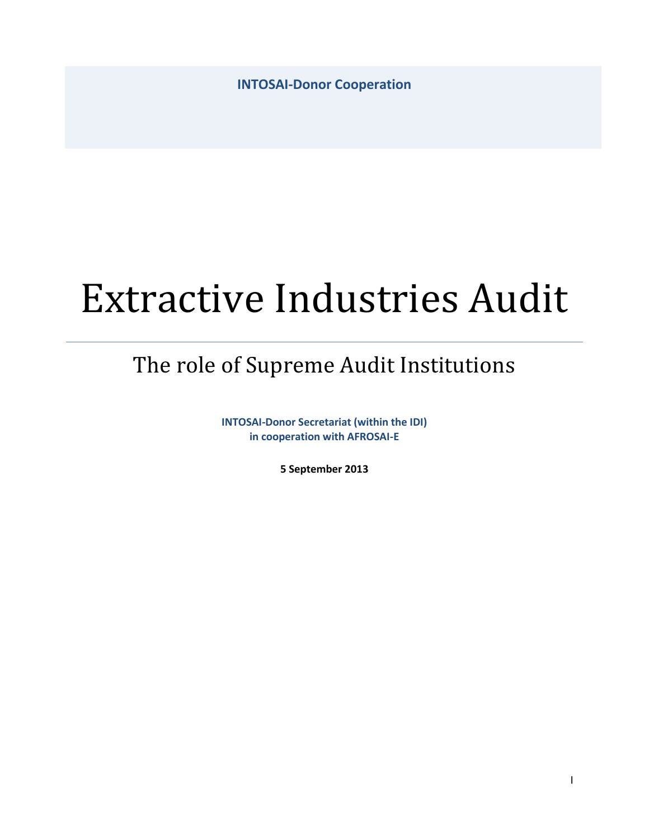**INTOSAI-Donor Cooperation**

# Extractive Industries Audit

## The role of Supreme Audit Institutions

**INTOSAI-Donor Secretariat (within the IDI) in cooperation with AFROSAI-E**

**5 September 2013**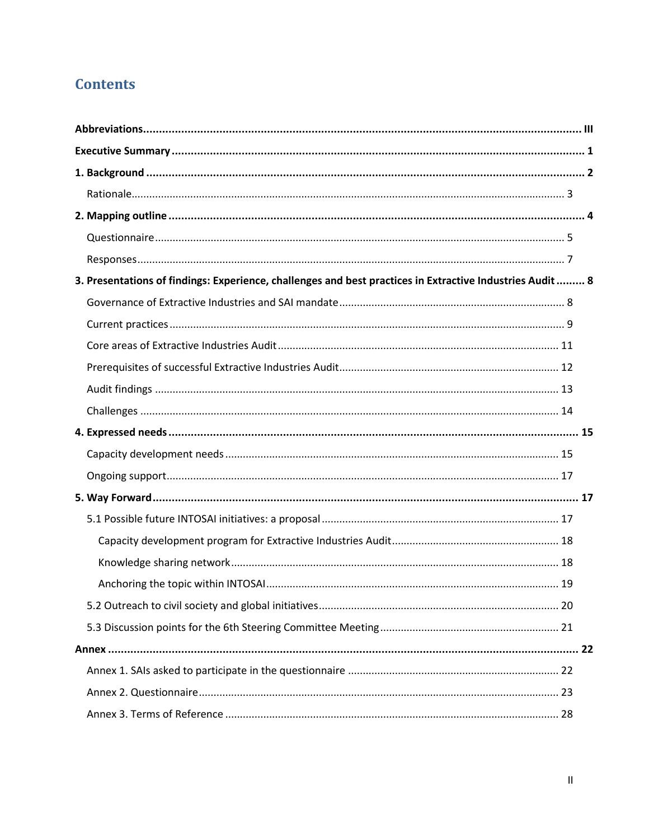## **Contents**

| 3. Presentations of findings: Experience, challenges and best practices in Extractive Industries Audit  8 |  |
|-----------------------------------------------------------------------------------------------------------|--|
|                                                                                                           |  |
|                                                                                                           |  |
|                                                                                                           |  |
|                                                                                                           |  |
|                                                                                                           |  |
|                                                                                                           |  |
|                                                                                                           |  |
|                                                                                                           |  |
|                                                                                                           |  |
|                                                                                                           |  |
|                                                                                                           |  |
|                                                                                                           |  |
|                                                                                                           |  |
|                                                                                                           |  |
|                                                                                                           |  |
|                                                                                                           |  |
|                                                                                                           |  |
|                                                                                                           |  |
|                                                                                                           |  |
|                                                                                                           |  |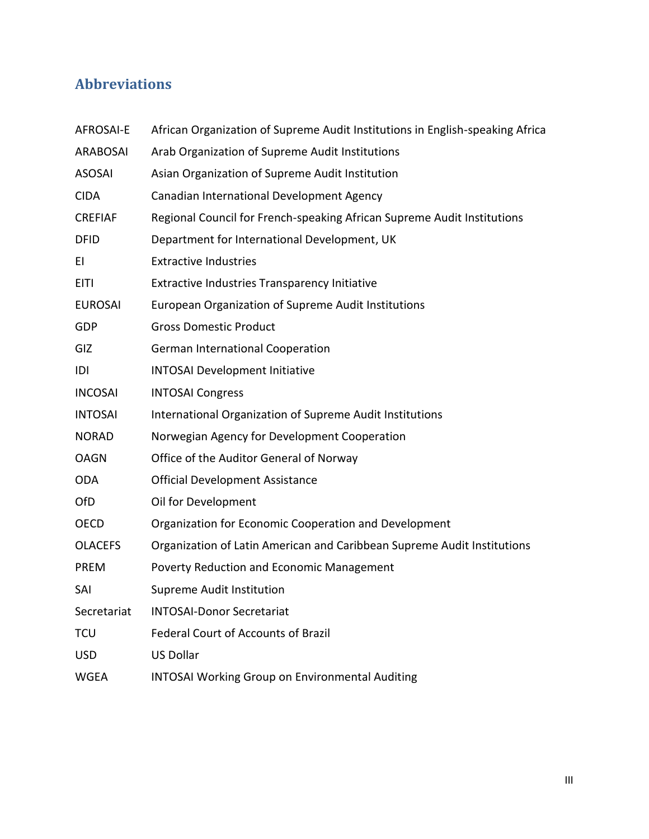## <span id="page-2-0"></span>**Abbreviations**

| <b>AFROSAI-E</b> | African Organization of Supreme Audit Institutions in English-speaking Africa |
|------------------|-------------------------------------------------------------------------------|
| <b>ARABOSAI</b>  | Arab Organization of Supreme Audit Institutions                               |
| <b>ASOSAI</b>    | Asian Organization of Supreme Audit Institution                               |
| <b>CIDA</b>      | Canadian International Development Agency                                     |
| <b>CREFIAF</b>   | Regional Council for French-speaking African Supreme Audit Institutions       |
| <b>DFID</b>      | Department for International Development, UK                                  |
| EI               | <b>Extractive Industries</b>                                                  |
| <b>EITI</b>      | Extractive Industries Transparency Initiative                                 |
| <b>EUROSAI</b>   | European Organization of Supreme Audit Institutions                           |
| <b>GDP</b>       | <b>Gross Domestic Product</b>                                                 |
| GIZ              | <b>German International Cooperation</b>                                       |
| IDI              | <b>INTOSAI Development Initiative</b>                                         |
| <b>INCOSAI</b>   | <b>INTOSAI Congress</b>                                                       |
| <b>INTOSAI</b>   | International Organization of Supreme Audit Institutions                      |
| <b>NORAD</b>     | Norwegian Agency for Development Cooperation                                  |
| <b>OAGN</b>      | Office of the Auditor General of Norway                                       |
| <b>ODA</b>       | <b>Official Development Assistance</b>                                        |
| OfD              | Oil for Development                                                           |
| <b>OECD</b>      | Organization for Economic Cooperation and Development                         |
| <b>OLACEFS</b>   | Organization of Latin American and Caribbean Supreme Audit Institutions       |
| <b>PREM</b>      | Poverty Reduction and Economic Management                                     |
| SAI              | Supreme Audit Institution                                                     |
| Secretariat      | <b>INTOSAI-Donor Secretariat</b>                                              |
| <b>TCU</b>       | <b>Federal Court of Accounts of Brazil</b>                                    |
| <b>USD</b>       | <b>US Dollar</b>                                                              |
| <b>WGEA</b>      | <b>INTOSAI Working Group on Environmental Auditing</b>                        |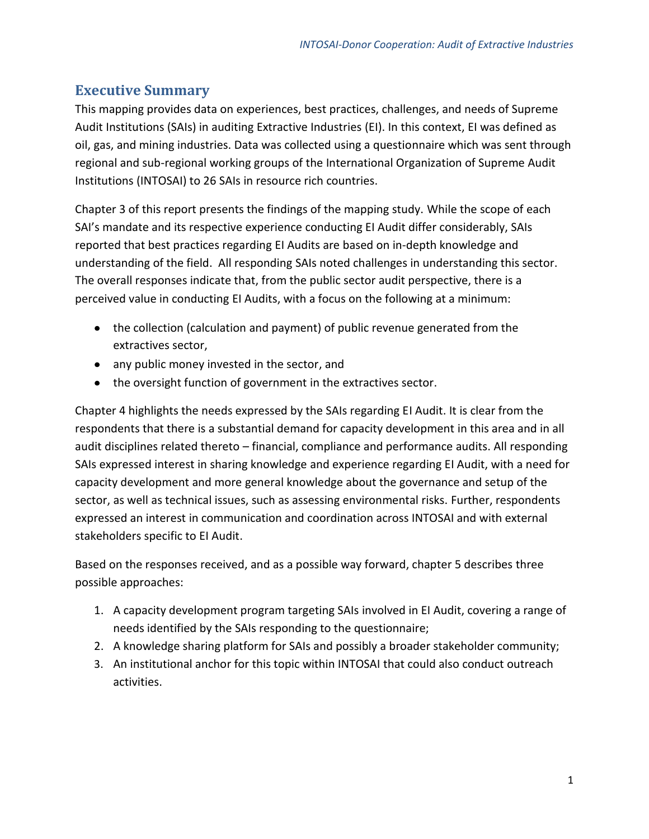#### <span id="page-3-0"></span>**Executive Summary**

This mapping provides data on experiences, best practices, challenges, and needs of Supreme Audit Institutions (SAIs) in auditing Extractive Industries (EI). In this context, EI was defined as oil, gas, and mining industries. Data was collected using a questionnaire which was sent through regional and sub-regional working groups of the International Organization of Supreme Audit Institutions (INTOSAI) to 26 SAIs in resource rich countries.

Chapter 3 of this report presents the findings of the mapping study. While the scope of each SAI's mandate and its respective experience conducting EI Audit differ considerably, SAIs reported that best practices regarding EI Audits are based on in-depth knowledge and understanding of the field. All responding SAIs noted challenges in understanding this sector. The overall responses indicate that, from the public sector audit perspective, there is a perceived value in conducting EI Audits, with a focus on the following at a minimum:

- the collection (calculation and payment) of public revenue generated from the extractives sector,
- any public money invested in the sector, and
- the oversight function of government in the extractives sector.

Chapter 4 highlights the needs expressed by the SAIs regarding EI Audit. It is clear from the respondents that there is a substantial demand for capacity development in this area and in all audit disciplines related thereto – financial, compliance and performance audits. All responding SAIs expressed interest in sharing knowledge and experience regarding EI Audit, with a need for capacity development and more general knowledge about the governance and setup of the sector, as well as technical issues, such as assessing environmental risks. Further, respondents expressed an interest in communication and coordination across INTOSAI and with external stakeholders specific to EI Audit.

Based on the responses received, and as a possible way forward, chapter 5 describes three possible approaches:

- 1. A capacity development program targeting SAIs involved in EI Audit, covering a range of needs identified by the SAIs responding to the questionnaire;
- 2. A knowledge sharing platform for SAIs and possibly a broader stakeholder community;
- 3. An institutional anchor for this topic within INTOSAI that could also conduct outreach activities.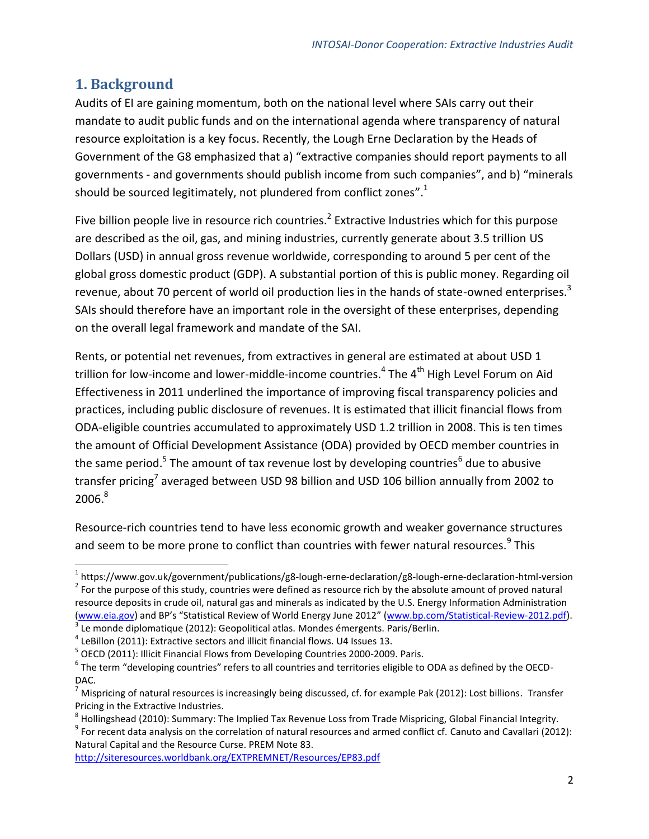#### <span id="page-4-0"></span>**1. Background**

 $\overline{a}$ 

Audits of EI are gaining momentum, both on the national level where SAIs carry out their mandate to audit public funds and on the international agenda where transparency of natural resource exploitation is a key focus. Recently, the Lough Erne Declaration by the Heads of Government of the G8 emphasized that a) "extractive companies should report payments to all governments - and governments should publish income from such companies", and b) "minerals should be sourced legitimately, not plundered from conflict zones".<sup>1</sup>

Five billion people live in resource rich countries.<sup>2</sup> Extractive Industries which for this purpose are described as the oil, gas, and mining industries, currently generate about 3.5 trillion US Dollars (USD) in annual gross revenue worldwide, corresponding to around 5 per cent of the global gross domestic product (GDP). A substantial portion of this is public money. Regarding oil revenue, about 70 percent of world oil production lies in the hands of state-owned enterprises.<sup>3</sup> SAIs should therefore have an important role in the oversight of these enterprises, depending on the overall legal framework and mandate of the SAI.

Rents, or potential net revenues, from extractives in general are estimated at about USD 1 trillion for low-income and lower-middle-income countries.<sup>4</sup> The 4<sup>th</sup> High Level Forum on Aid Effectiveness in 2011 underlined the importance of improving fiscal transparency policies and practices, including public disclosure of revenues. It is estimated that illicit financial flows from ODA-eligible countries accumulated to approximately USD 1.2 trillion in 2008. This is ten times the amount of Official Development Assistance (ODA) provided by OECD member countries in the same period.<sup>5</sup> The amount of tax revenue lost by developing countries<sup>6</sup> due to abusive transfer pricing<sup>7</sup> averaged between USD 98 billion and USD 106 billion annually from 2002 to  $2006.<sup>8</sup>$ 

Resource-rich countries tend to have less economic growth and weaker governance structures and seem to be more prone to conflict than countries with fewer natural resources.<sup>9</sup> This

 $9$  For recent data analysis on the correlation of natural resources and armed conflict cf. Canuto and Cavallari (2012): Natural Capital and the Resource Curse. PREM Note 83.

<http://siteresources.worldbank.org/EXTPREMNET/Resources/EP83.pdf>

<sup>1</sup> https://www.gov.uk/government/publications/g8-lough-erne-declaration/g8-lough-erne-declaration-html-version  $2^{2}$  For the purpose of this study, countries were defined as resource rich by the absolute amount of proved natural resource deposits in crude oil, natural gas and minerals as indicated by the U.S. Energy Information Administration [\(www.eia.gov](http://www.eia.gov/countries/index.cfm?view=reserves)) and BP's "Statistical Review of World Energy June 2012" ([www.bp.com/Statistical-Review-2012.pdf\)](http://www.bp.com/content/dam/bp/pdf/Statistical-Review-2012/statistical_review_of_world_energy2012.pdf).

 $3$  Le monde diplomatique (2012): Geopolitical atlas. Mondes émergents. Paris/Berlin.

 $<sup>4</sup>$  LeBillon (2011): Extractive sectors and illicit financial flows. U4 Issues 13.</sup>

<sup>&</sup>lt;sup>5</sup> OECD (2011): Illicit Financial Flows from Developing Countries 2000-2009. Paris.

 $^6$  The term "developing countries" refers to all countries and territories eligible to ODA as defined by the OECD-DAC.

<sup>7</sup> Mispricing of natural resources is increasingly being discussed, cf. for example Pak (2012): Lost billions. Transfer Pricing in the Extractive Industries.

 $^8$  Hollingshead (2010): Summary: The Implied Tax Revenue Loss from Trade Mispricing, Global Financial Integrity.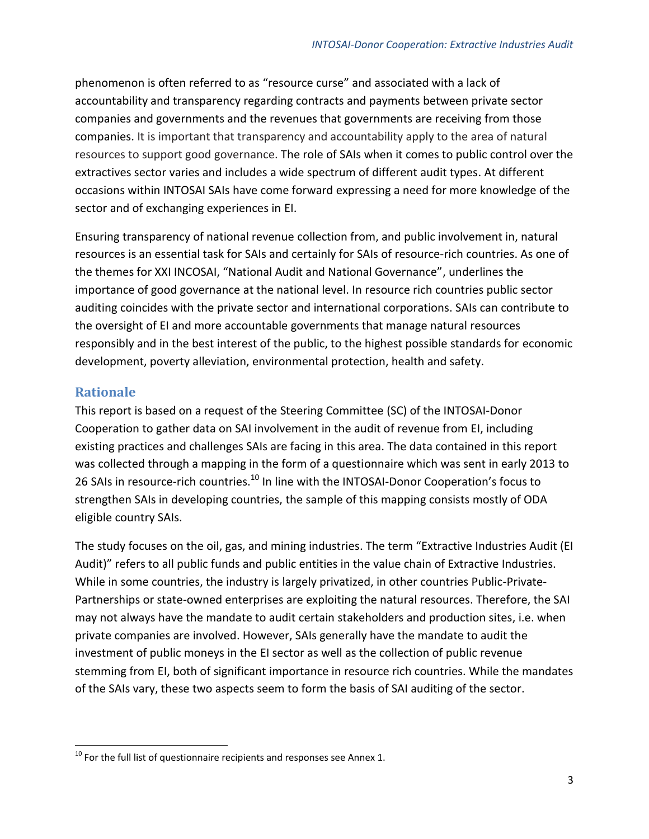phenomenon is often referred to as "resource curse" and associated with a lack of accountability and transparency regarding contracts and payments between private sector companies and governments and the revenues that governments are receiving from those companies. It is important that transparency and accountability apply to the area of natural resources to support good governance. The role of SAIs when it comes to public control over the extractives sector varies and includes a wide spectrum of different audit types. At different occasions within INTOSAI SAIs have come forward expressing a need for more knowledge of the sector and of exchanging experiences in EI.

Ensuring transparency of national revenue collection from, and public involvement in, natural resources is an essential task for SAIs and certainly for SAIs of resource-rich countries. As one of the themes for XXI INCOSAI, "National Audit and National Governance", underlines the importance of good governance at the national level. In resource rich countries public sector auditing coincides with the private sector and international corporations. SAIs can contribute to the oversight of EI and more accountable governments that manage natural resources responsibly and in the best interest of the public, to the highest possible standards for economic development, poverty alleviation, environmental protection, health and safety.

#### <span id="page-5-0"></span>**Rationale**

 $\overline{a}$ 

This report is based on a request of the Steering Committee (SC) of the INTOSAI-Donor Cooperation to gather data on SAI involvement in the audit of revenue from EI, including existing practices and challenges SAIs are facing in this area. The data contained in this report was collected through a mapping in the form of a questionnaire which was sent in early 2013 to 26 SAIs in resource-rich countries.<sup>10</sup> In line with the INTOSAI-Donor Cooperation's focus to strengthen SAIs in developing countries, the sample of this mapping consists mostly of ODA eligible country SAIs.

The study focuses on the oil, gas, and mining industries. The term "Extractive Industries Audit (EI Audit)" refers to all public funds and public entities in the value chain of Extractive Industries. While in some countries, the industry is largely privatized, in other countries Public-Private-Partnerships or state-owned enterprises are exploiting the natural resources. Therefore, the SAI may not always have the mandate to audit certain stakeholders and production sites, i.e. when private companies are involved. However, SAIs generally have the mandate to audit the investment of public moneys in the EI sector as well as the collection of public revenue stemming from EI, both of significant importance in resource rich countries. While the mandates of the SAIs vary, these two aspects seem to form the basis of SAI auditing of the sector.

 $10$  For the full list of questionnaire recipients and responses see Annex 1.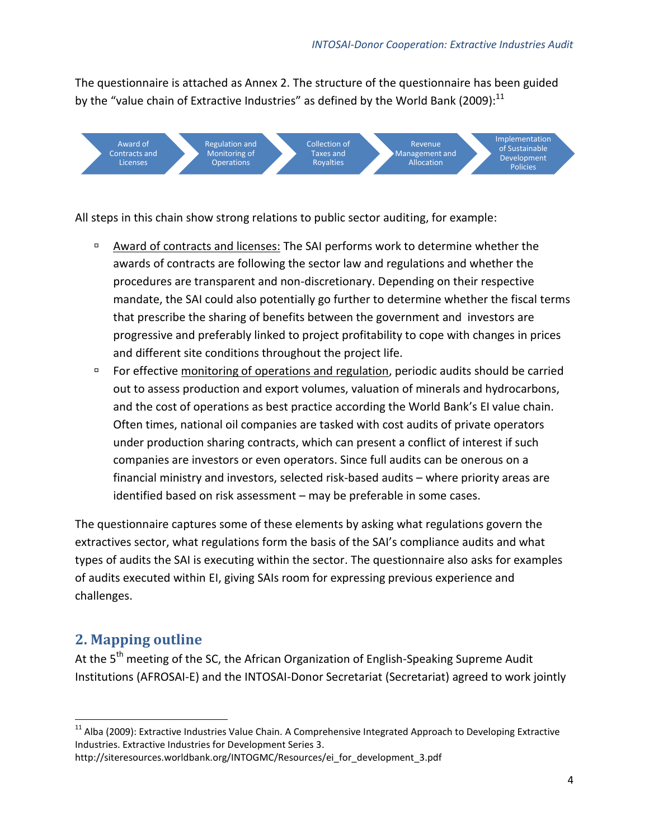The questionnaire is attached as Annex 2. The structure of the questionnaire has been guided by the "value chain of Extractive Industries" as defined by the World Bank (2009): $^{11}$ 



All steps in this chain show strong relations to public sector auditing, for example:

- Award of contracts and licenses: The SAI performs work to determine whether the awards of contracts are following the sector law and regulations and whether the procedures are transparent and non-discretionary. Depending on their respective mandate, the SAI could also potentially go further to determine whether the fiscal terms that prescribe the sharing of benefits between the government and investors are progressive and preferably linked to project profitability to cope with changes in prices and different site conditions throughout the project life.
- For effective monitoring of operations and regulation, periodic audits should be carried out to assess production and export volumes, valuation of minerals and hydrocarbons, and the cost of operations as best practice according the World Bank's EI value chain. Often times, national oil companies are tasked with cost audits of private operators under production sharing contracts, which can present a conflict of interest if such companies are investors or even operators. Since full audits can be onerous on a financial ministry and investors, selected risk-based audits – where priority areas are identified based on risk assessment – may be preferable in some cases.

The questionnaire captures some of these elements by asking what regulations govern the extractives sector, what regulations form the basis of the SAI's compliance audits and what types of audits the SAI is executing within the sector. The questionnaire also asks for examples of audits executed within EI, giving SAIs room for expressing previous experience and challenges.

### <span id="page-6-0"></span>**2. Mapping outline**

At the 5<sup>th</sup> meeting of the SC, the African Organization of English-Speaking Supreme Audit Institutions (AFROSAI-E) and the INTOSAI-Donor Secretariat (Secretariat) agreed to work jointly

http://siteresources.worldbank.org/INTOGMC/Resources/ei\_for\_development\_3.pdf

 $\overline{a}$ <sup>11</sup> Alba (2009): Extractive Industries Value Chain. A Comprehensive Integrated Approach to Developing Extractive Industries. Extractive Industries for Development Series 3.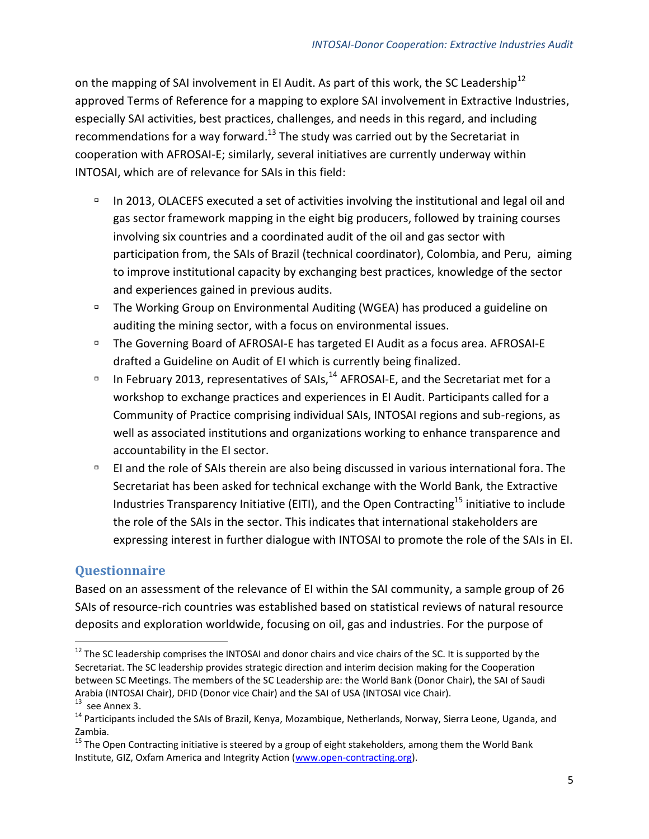on the mapping of SAI involvement in EI Audit. As part of this work, the SC Leadership<sup>12</sup> approved Terms of Reference for a mapping to explore SAI involvement in Extractive Industries, especially SAI activities, best practices, challenges, and needs in this regard, and including recommendations for a way forward. $^{13}$  The study was carried out by the Secretariat in cooperation with AFROSAI-E; similarly, several initiatives are currently underway within INTOSAI, which are of relevance for SAIs in this field:

- In 2013, OLACEFS executed a set of activities involving the institutional and legal oil and gas sector framework mapping in the eight big producers, followed by training courses involving six countries and a coordinated audit of the oil and gas sector with participation from, the SAIs of Brazil (technical coordinator), Colombia, and Peru, aiming to improve institutional capacity by exchanging best practices, knowledge of the sector and experiences gained in previous audits.
- □ The Working Group on Environmental Auditing (WGEA) has produced a guideline on auditing the mining sector, with a focus on environmental issues.
- □ The Governing Board of AFROSAI-E has targeted EI Audit as a focus area. AFROSAI-E drafted a Guideline on Audit of EI which is currently being finalized.
- In February 2013, representatives of SAIs,  $^{14}$  AFROSAI-E, and the Secretariat met for a workshop to exchange practices and experiences in EI Audit. Participants called for a Community of Practice comprising individual SAIs, INTOSAI regions and sub-regions, as well as associated institutions and organizations working to enhance transparence and accountability in the EI sector.
- EI and the role of SAIs therein are also being discussed in various international fora. The Secretariat has been asked for technical exchange with the World Bank, the Extractive Industries Transparency Initiative (EITI), and the Open Contracting<sup>15</sup> initiative to include the role of the SAIs in the sector. This indicates that international stakeholders are expressing interest in further dialogue with INTOSAI to promote the role of the SAIs in EI.

#### <span id="page-7-0"></span>**Questionnaire**

 $\overline{a}$ 

Based on an assessment of the relevance of EI within the SAI community, a sample group of 26 SAIs of resource-rich countries was established based on statistical reviews of natural resource deposits and exploration worldwide, focusing on oil, gas and industries. For the purpose of

 $12$  The SC leadership comprises the INTOSAI and donor chairs and vice chairs of the SC. It is supported by the Secretariat. The SC leadership provides strategic direction and interim decision making for the Cooperation between SC Meetings. The members of the SC Leadership are: the World Bank (Donor Chair), the SAI of Saudi Arabia (INTOSAI Chair), DFID (Donor vice Chair) and the SAI of USA (INTOSAI vice Chair).  $13$  see Annex 3.

<sup>&</sup>lt;sup>14</sup> Participants included the SAIs of Brazil, Kenya, Mozambique, Netherlands, Norway, Sierra Leone, Uganda, and Zambia.

<sup>&</sup>lt;sup>15</sup> The Open Contracting initiative is steered by a group of eight stakeholders, among them the World Bank Institute, GIZ, Oxfam America and Integrity Action [\(www.open-contracting.org\)](http://www.open-contracting.org/about).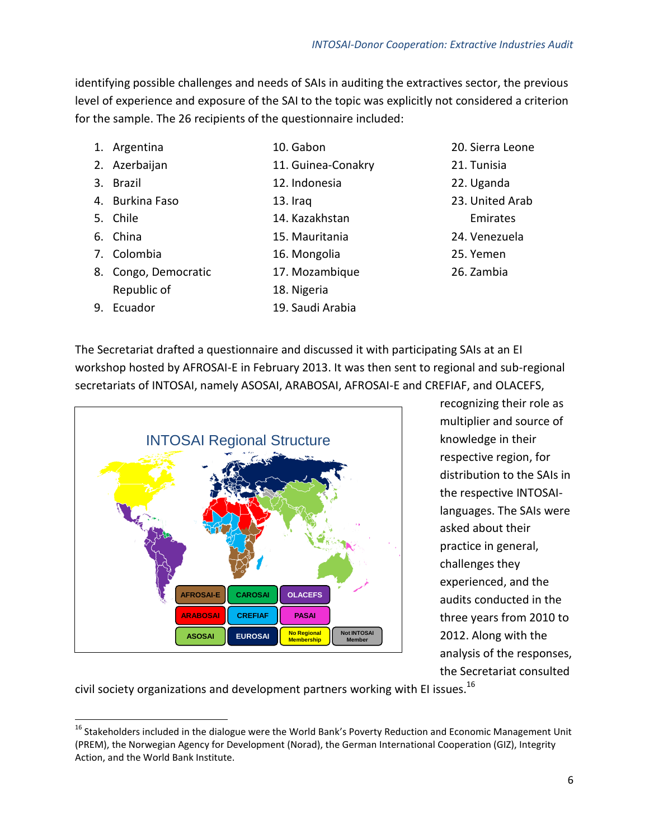6

*INTOSAI-Donor Cooperation: Extractive Industries Audit*

identifying possible challenges and needs of SAIs in auditing the extractives sector, the previous level of experience and exposure of the SAI to the topic was explicitly not considered a criterion for the sample. The 26 recipients of the questionnaire included:

11. Guinea-Conakry

10. Gabon

13. Iraq

12. Indonesia

14. Kazakhstan 15. Mauritania 16. Mongolia

- 1. Argentina
- 2. Azerbaijan
- 3. Brazil
- 4. Burkina Faso
- 5. Chile
- 6. China
- 7. Colombia

9. Ecuador

- 8. Congo, Democratic Republic of
	-
- 17. Mozambique 18. Nigeria
- 19. Saudi Arabia
- 20. Sierra Leone
- 21. Tunisia
- 22. Uganda
- 23. United Arab
	- Emirates
- 24. Venezuela
- 25. Yemen
- 26. Zambia

The Secretariat drafted a questionnaire and discussed it with participating SAIs at an EI workshop hosted by AFROSAI-E in February 2013. It was then sent to regional and sub-regional secretariats of INTOSAI, namely ASOSAI, ARABOSAI, AFROSAI-E and CREFIAF, and OLACEFS,

INTOSAI Regional Structure **ASOSAI AFROSAI-E CREFIAF EUROSAI CAROSAI ARABOSAI OLACEFS PASAI No Regiona Membership Not INTOSAI Member**

recognizing their role as multiplier and source of knowledge in their respective region, for distribution to the SAIs in the respective INTOSAIlanguages. The SAIs were asked about their practice in general, challenges they experienced, and the audits conducted in the three years from 2010 to 2012. Along with the analysis of the responses, the Secretariat consulted

civil society organizations and development partners working with EI issues.<sup>16</sup>

 $\overline{a}$ <sup>16</sup> Stakeholders included in the dialogue were the World Bank's Poverty Reduction and Economic Management Unit (PREM), the Norwegian Agency for Development (Norad), the German International Cooperation (GIZ), Integrity Action, and the World Bank Institute.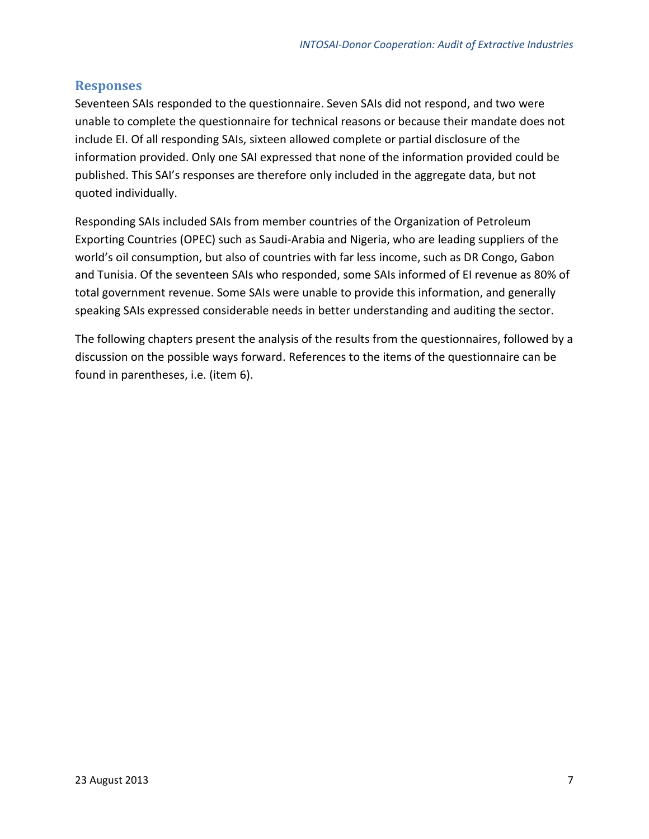#### <span id="page-9-0"></span>**Responses**

Seventeen SAIs responded to the questionnaire. Seven SAIs did not respond, and two were unable to complete the questionnaire for technical reasons or because their mandate does not include EI. Of all responding SAIs, sixteen allowed complete or partial disclosure of the information provided. Only one SAI expressed that none of the information provided could be published. This SAI's responses are therefore only included in the aggregate data, but not quoted individually.

Responding SAIs included SAIs from member countries of the Organization of Petroleum Exporting Countries (OPEC) such as Saudi-Arabia and Nigeria, who are leading suppliers of the world's oil consumption, but also of countries with far less income, such as DR Congo, Gabon and Tunisia. Of the seventeen SAIs who responded, some SAIs informed of EI revenue as 80% of total government revenue. Some SAIs were unable to provide this information, and generally speaking SAIs expressed considerable needs in better understanding and auditing the sector.

The following chapters present the analysis of the results from the questionnaires, followed by a discussion on the possible ways forward. References to the items of the questionnaire can be found in parentheses, i.e. (item 6).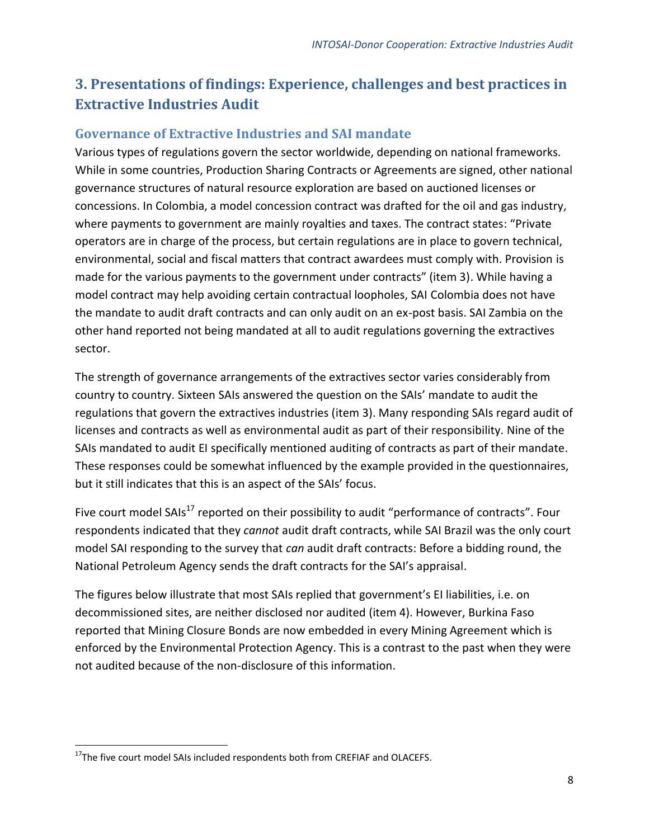## <span id="page-10-0"></span>**3. Presentations of findings: Experience, challenges and best practices in Extractive Industries Audit**

#### <span id="page-10-1"></span>**Governance of Extractive Industries and SAI mandate**

Various types of regulations govern the sector worldwide, depending on national frameworks. While in some countries, Production Sharing Contracts or Agreements are signed, other national governance structures of natural resource exploration are based on auctioned licenses or concessions. In Colombia, a model concession contract was drafted for the oil and gas industry, where payments to government are mainly royalties and taxes. The contract states: "Private operators are in charge of the process, but certain regulations are in place to govern technical, environmental, social and fiscal matters that contract awardees must comply with. Provision is made for the various payments to the government under contracts" (item 3). While having a model contract may help avoiding certain contractual loopholes, SAI Colombia does not have the mandate to audit draft contracts and can only audit on an ex-post basis. SAI Zambia on the other hand reported not being mandated at all to audit regulations governing the extractives sector.

The strength of governance arrangements of the extractives sector varies considerably from country to country. Sixteen SAIs answered the question on the SAIs' mandate to audit the regulations that govern the extractives industries (item 3). Many responding SAIs regard audit of licenses and contracts as well as environmental audit as part of their responsibility. Nine of the SAIs mandated to audit EI specifically mentioned auditing of contracts as part of their mandate. These responses could be somewhat influenced by the example provided in the questionnaires, but it still indicates that this is an aspect of the SAIs' focus.

Five court model SAIs<sup>17</sup> reported on their possibility to audit "performance of contracts". Four respondents indicated that they *cannot* audit draft contracts, while SAI Brazil was the only court model SAI responding to the survey that *can* audit draft contracts: Before a bidding round, the National Petroleum Agency sends the draft contracts for the SAI's appraisal.

The figures below illustrate that most SAIs replied that government's EI liabilities, i.e. on decommissioned sites, are neither disclosed nor audited (item 4). However, Burkina Faso reported that Mining Closure Bonds are now embedded in every Mining Agreement which is enforced by the Environmental Protection Agency. This is a contrast to the past when they were not audited because of the non-disclosure of this information.

 $\overline{a}$ 

<sup>&</sup>lt;sup>17</sup>The five court model SAIs included respondents both from CREFIAF and OLACEFS.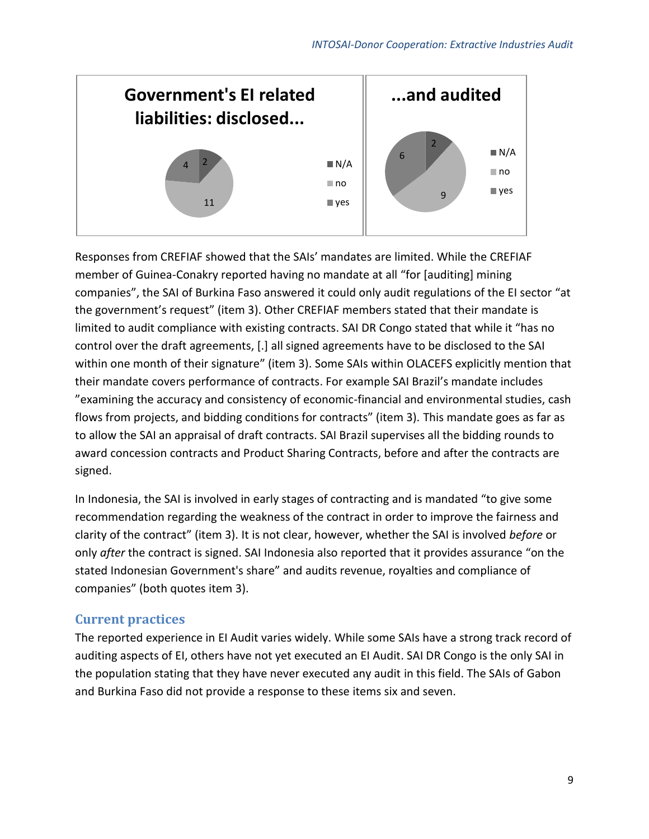

Responses from CREFIAF showed that the SAIs' mandates are limited. While the CREFIAF member of Guinea-Conakry reported having no mandate at all "for [auditing] mining companies", the SAI of Burkina Faso answered it could only audit regulations of the EI sector "at the government's request" (item 3). Other CREFIAF members stated that their mandate is limited to audit compliance with existing contracts. SAI DR Congo stated that while it "has no control over the draft agreements, [.] all signed agreements have to be disclosed to the SAI within one month of their signature" (item 3). Some SAIs within OLACEFS explicitly mention that their mandate covers performance of contracts. For example SAI Brazil's mandate includes "examining the accuracy and consistency of economic-financial and environmental studies, cash flows from projects, and bidding conditions for contracts" (item 3). This mandate goes as far as to allow the SAI an appraisal of draft contracts. SAI Brazil supervises all the bidding rounds to award concession contracts and Product Sharing Contracts, before and after the contracts are signed.

In Indonesia, the SAI is involved in early stages of contracting and is mandated "to give some recommendation regarding the weakness of the contract in order to improve the fairness and clarity of the contract" (item 3). It is not clear, however, whether the SAI is involved *before* or only *after* the contract is signed. SAI Indonesia also reported that it provides assurance "on the stated Indonesian Government's share" and audits revenue, royalties and compliance of companies" (both quotes item 3).

#### <span id="page-11-0"></span>**Current practices**

The reported experience in EI Audit varies widely. While some SAIs have a strong track record of auditing aspects of EI, others have not yet executed an EI Audit. SAI DR Congo is the only SAI in the population stating that they have never executed any audit in this field. The SAIs of Gabon and Burkina Faso did not provide a response to these items six and seven.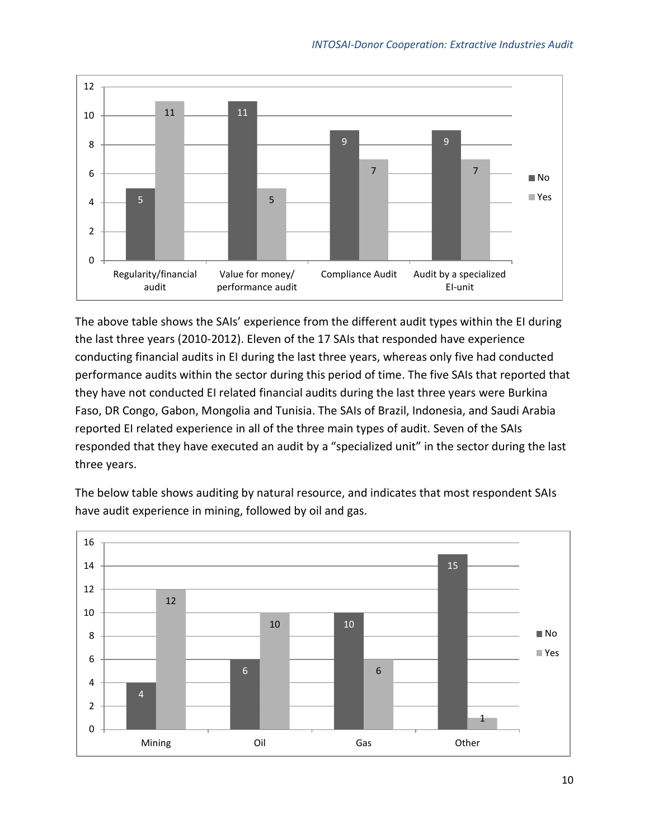

The above table shows the SAIs' experience from the different audit types within the EI during the last three years (2010-2012). Eleven of the 17 SAIs that responded have experience conducting financial audits in EI during the last three years, whereas only five had conducted performance audits within the sector during this period of time. The five SAIs that reported that they have not conducted EI related financial audits during the last three years were Burkina Faso, DR Congo, Gabon, Mongolia and Tunisia. The SAIs of Brazil, Indonesia, and Saudi Arabia reported EI related experience in all of the three main types of audit. Seven of the SAIs responded that they have executed an audit by a "specialized unit" in the sector during the last three years.



The below table shows auditing by natural resource, and indicates that most respondent SAIs have audit experience in mining, followed by oil and gas.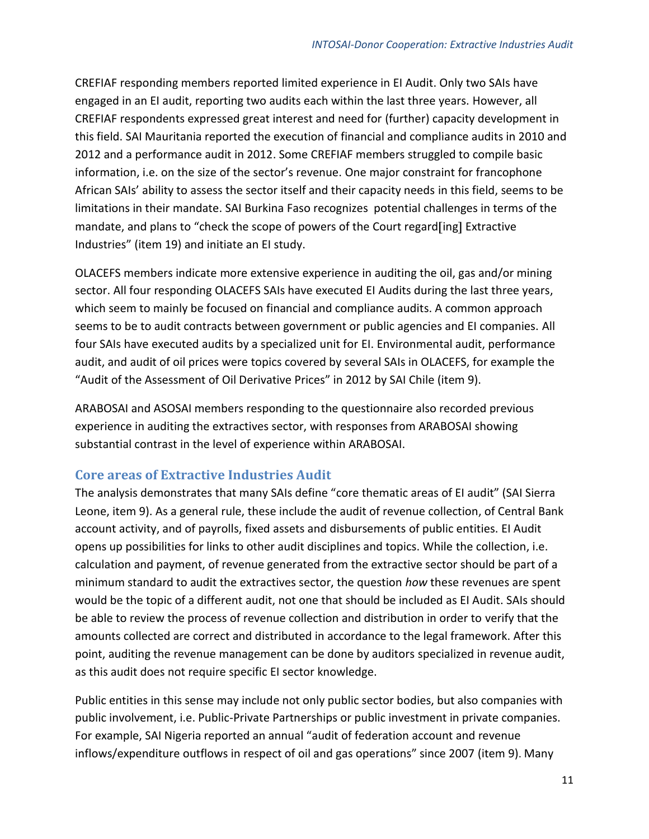CREFIAF responding members reported limited experience in EI Audit. Only two SAIs have engaged in an EI audit, reporting two audits each within the last three years. However, all CREFIAF respondents expressed great interest and need for (further) capacity development in this field. SAI Mauritania reported the execution of financial and compliance audits in 2010 and 2012 and a performance audit in 2012. Some CREFIAF members struggled to compile basic information, i.e. on the size of the sector's revenue. One major constraint for francophone African SAIs' ability to assess the sector itself and their capacity needs in this field, seems to be limitations in their mandate. SAI Burkina Faso recognizes potential challenges in terms of the mandate, and plans to "check the scope of powers of the Court regard [ing] Extractive Industries" (item 19) and initiate an EI study.

OLACEFS members indicate more extensive experience in auditing the oil, gas and/or mining sector. All four responding OLACEFS SAIs have executed EI Audits during the last three years, which seem to mainly be focused on financial and compliance audits. A common approach seems to be to audit contracts between government or public agencies and EI companies. All four SAIs have executed audits by a specialized unit for EI. Environmental audit, performance audit, and audit of oil prices were topics covered by several SAIs in OLACEFS, for example the "Audit of the Assessment of Oil Derivative Prices" in 2012 by SAI Chile (item 9).

ARABOSAI and ASOSAI members responding to the questionnaire also recorded previous experience in auditing the extractives sector, with responses from ARABOSAI showing substantial contrast in the level of experience within ARABOSAI.

#### <span id="page-13-0"></span>**Core areas of Extractive Industries Audit**

The analysis demonstrates that many SAIs define "core thematic areas of EI audit" (SAI Sierra Leone, item 9). As a general rule, these include the audit of revenue collection, of Central Bank account activity, and of payrolls, fixed assets and disbursements of public entities. EI Audit opens up possibilities for links to other audit disciplines and topics. While the collection, i.e. calculation and payment, of revenue generated from the extractive sector should be part of a minimum standard to audit the extractives sector, the question *how* these revenues are spent would be the topic of a different audit, not one that should be included as EI Audit. SAIs should be able to review the process of revenue collection and distribution in order to verify that the amounts collected are correct and distributed in accordance to the legal framework. After this point, auditing the revenue management can be done by auditors specialized in revenue audit, as this audit does not require specific EI sector knowledge.

Public entities in this sense may include not only public sector bodies, but also companies with public involvement, i.e. Public-Private Partnerships or public investment in private companies. For example, SAI Nigeria reported an annual "audit of federation account and revenue inflows/expenditure outflows in respect of oil and gas operations" since 2007 (item 9). Many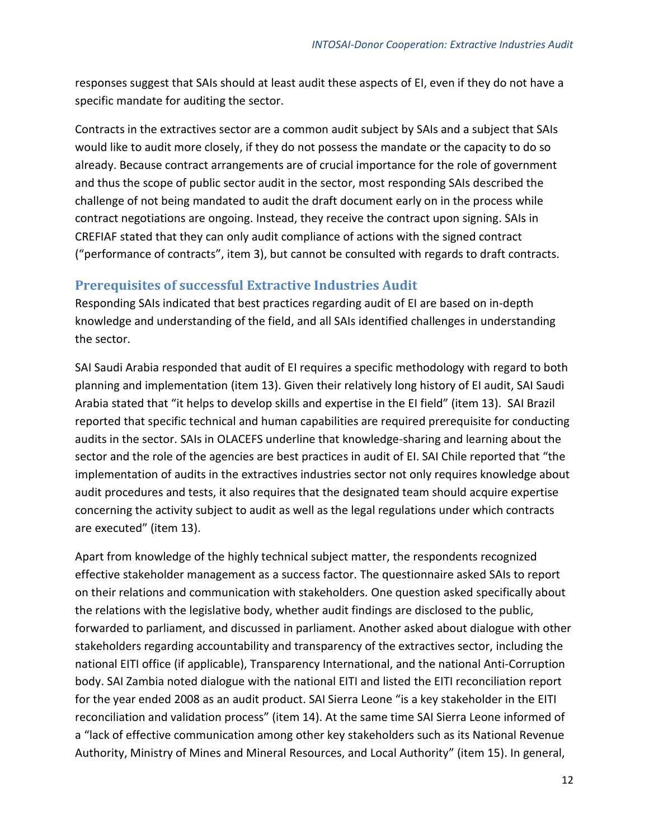responses suggest that SAIs should at least audit these aspects of EI, even if they do not have a specific mandate for auditing the sector.

Contracts in the extractives sector are a common audit subject by SAIs and a subject that SAIs would like to audit more closely, if they do not possess the mandate or the capacity to do so already. Because contract arrangements are of crucial importance for the role of government and thus the scope of public sector audit in the sector, most responding SAIs described the challenge of not being mandated to audit the draft document early on in the process while contract negotiations are ongoing. Instead, they receive the contract upon signing. SAIs in CREFIAF stated that they can only audit compliance of actions with the signed contract ("performance of contracts", item 3), but cannot be consulted with regards to draft contracts.

#### <span id="page-14-0"></span>**Prerequisites of successful Extractive Industries Audit**

Responding SAIs indicated that best practices regarding audit of EI are based on in-depth knowledge and understanding of the field, and all SAIs identified challenges in understanding the sector.

SAI Saudi Arabia responded that audit of EI requires a specific methodology with regard to both planning and implementation (item 13). Given their relatively long history of EI audit, SAI Saudi Arabia stated that "it helps to develop skills and expertise in the EI field" (item 13). SAI Brazil reported that specific technical and human capabilities are required prerequisite for conducting audits in the sector. SAIs in OLACEFS underline that knowledge-sharing and learning about the sector and the role of the agencies are best practices in audit of EI. SAI Chile reported that "the implementation of audits in the extractives industries sector not only requires knowledge about audit procedures and tests, it also requires that the designated team should acquire expertise concerning the activity subject to audit as well as the legal regulations under which contracts are executed" (item 13).

Apart from knowledge of the highly technical subject matter, the respondents recognized effective stakeholder management as a success factor. The questionnaire asked SAIs to report on their relations and communication with stakeholders. One question asked specifically about the relations with the legislative body, whether audit findings are disclosed to the public, forwarded to parliament, and discussed in parliament. Another asked about dialogue with other stakeholders regarding accountability and transparency of the extractives sector, including the national EITI office (if applicable), Transparency International, and the national Anti-Corruption body. SAI Zambia noted dialogue with the national EITI and listed the EITI reconciliation report for the year ended 2008 as an audit product. SAI Sierra Leone "is a key stakeholder in the EITI reconciliation and validation process" (item 14). At the same time SAI Sierra Leone informed of a "lack of effective communication among other key stakeholders such as its National Revenue Authority, Ministry of Mines and Mineral Resources, and Local Authority" (item 15). In general,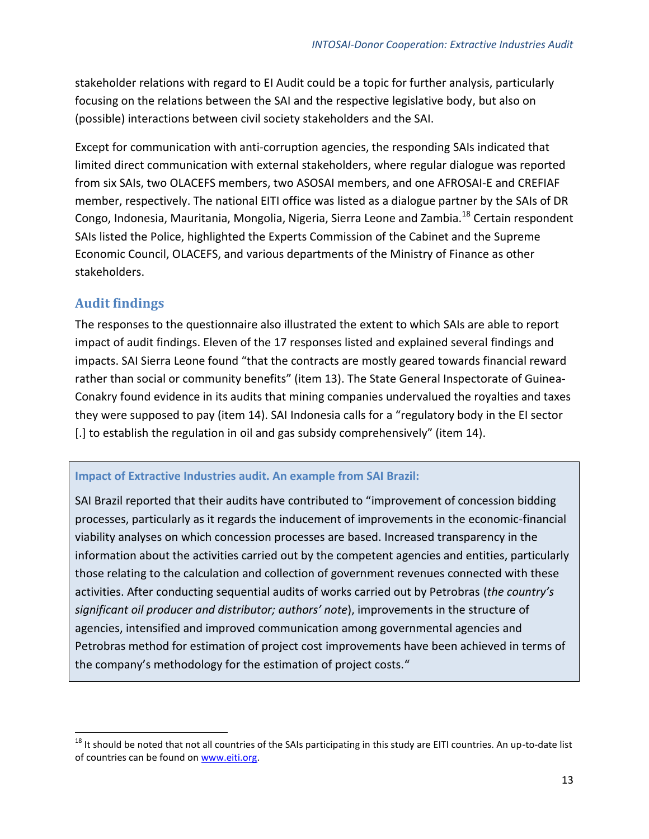stakeholder relations with regard to EI Audit could be a topic for further analysis, particularly focusing on the relations between the SAI and the respective legislative body, but also on (possible) interactions between civil society stakeholders and the SAI.

Except for communication with anti-corruption agencies, the responding SAIs indicated that limited direct communication with external stakeholders, where regular dialogue was reported from six SAIs, two OLACEFS members, two ASOSAI members, and one AFROSAI-E and CREFIAF member, respectively. The national EITI office was listed as a dialogue partner by the SAIs of DR Congo, Indonesia, Mauritania, Mongolia, Nigeria, Sierra Leone and Zambia.<sup>18</sup> Certain respondent SAIs listed the Police, highlighted the Experts Commission of the Cabinet and the Supreme Economic Council, OLACEFS, and various departments of the Ministry of Finance as other stakeholders.

#### <span id="page-15-0"></span>**Audit findings**

 $\overline{a}$ 

The responses to the questionnaire also illustrated the extent to which SAIs are able to report impact of audit findings. Eleven of the 17 responses listed and explained several findings and impacts. SAI Sierra Leone found "that the contracts are mostly geared towards financial reward rather than social or community benefits" (item 13). The State General Inspectorate of Guinea-Conakry found evidence in its audits that mining companies undervalued the royalties and taxes they were supposed to pay (item 14). SAI Indonesia calls for a "regulatory body in the EI sector [.] to establish the regulation in oil and gas subsidy comprehensively" (item 14).

#### **Impact of Extractive Industries audit. An example from SAI Brazil:**

SAI Brazil reported that their audits have contributed to "improvement of concession bidding processes, particularly as it regards the inducement of improvements in the economic-financial viability analyses on which concession processes are based. Increased transparency in the information about the activities carried out by the competent agencies and entities, particularly those relating to the calculation and collection of government revenues connected with these activities. After conducting sequential audits of works carried out by Petrobras (*the country's significant oil producer and distributor; authors' note*), improvements in the structure of agencies, intensified and improved communication among governmental agencies and Petrobras method for estimation of project cost improvements have been achieved in terms of the company's methodology for the estimation of project costs."

 $18$  It should be noted that not all countries of the SAIs participating in this study are EITI countries. An up-to-date list of countries can be found on [www.eiti.org.](http://www.eiti.org/)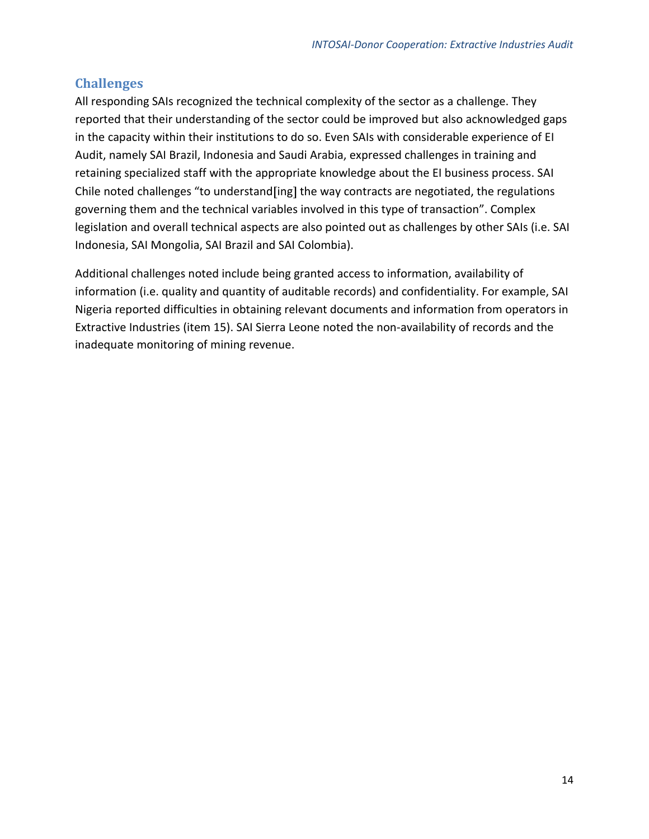#### <span id="page-16-0"></span>**Challenges**

All responding SAIs recognized the technical complexity of the sector as a challenge. They reported that their understanding of the sector could be improved but also acknowledged gaps in the capacity within their institutions to do so. Even SAIs with considerable experience of EI Audit, namely SAI Brazil, Indonesia and Saudi Arabia, expressed challenges in training and retaining specialized staff with the appropriate knowledge about the EI business process. SAI Chile noted challenges "to understand [ing] the way contracts are negotiated, the regulations governing them and the technical variables involved in this type of transaction". Complex legislation and overall technical aspects are also pointed out as challenges by other SAIs (i.e. SAI Indonesia, SAI Mongolia, SAI Brazil and SAI Colombia).

Additional challenges noted include being granted access to information, availability of information (i.e. quality and quantity of auditable records) and confidentiality. For example, SAI Nigeria reported difficulties in obtaining relevant documents and information from operators in Extractive Industries (item 15). SAI Sierra Leone noted the non-availability of records and the inadequate monitoring of mining revenue.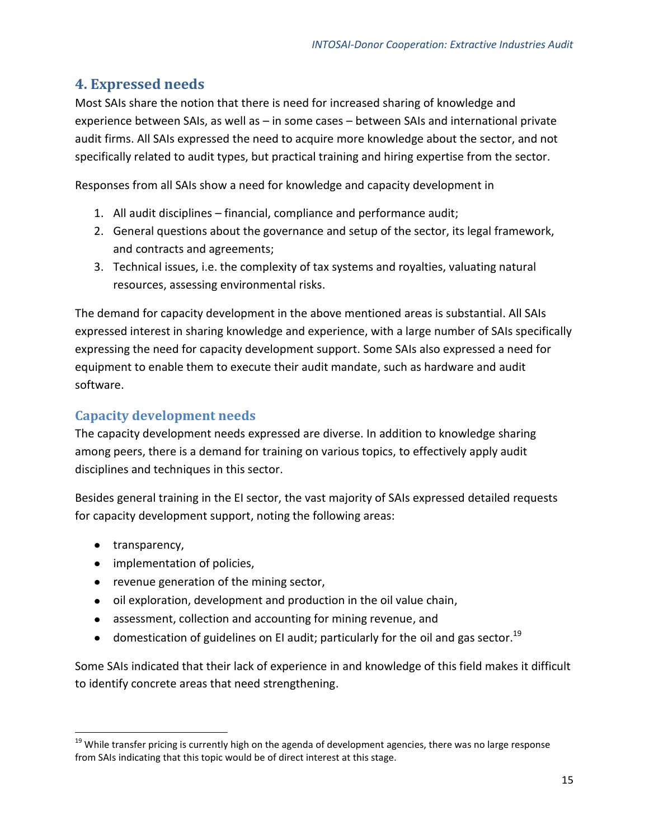#### <span id="page-17-0"></span>**4. Expressed needs**

Most SAIs share the notion that there is need for increased sharing of knowledge and experience between SAIs, as well as – in some cases – between SAIs and international private audit firms. All SAIs expressed the need to acquire more knowledge about the sector, and not specifically related to audit types, but practical training and hiring expertise from the sector.

Responses from all SAIs show a need for knowledge and capacity development in

- 1. All audit disciplines financial, compliance and performance audit;
- 2. General questions about the governance and setup of the sector, its legal framework, and contracts and agreements;
- 3. Technical issues, i.e. the complexity of tax systems and royalties, valuating natural resources, assessing environmental risks.

The demand for capacity development in the above mentioned areas is substantial. All SAIs expressed interest in sharing knowledge and experience, with a large number of SAIs specifically expressing the need for capacity development support. Some SAIs also expressed a need for equipment to enable them to execute their audit mandate, such as hardware and audit software.

#### <span id="page-17-1"></span>**Capacity development needs**

The capacity development needs expressed are diverse. In addition to knowledge sharing among peers, there is a demand for training on various topics, to effectively apply audit disciplines and techniques in this sector.

Besides general training in the EI sector, the vast majority of SAIs expressed detailed requests for capacity development support, noting the following areas:

• transparency,

 $\overline{a}$ 

- implementation of policies,
- revenue generation of the mining sector,
- $\bullet$  oil exploration, development and production in the oil value chain,
- assessment, collection and accounting for mining revenue, and
- domestication of guidelines on EI audit; particularly for the oil and gas sector.<sup>19</sup>

Some SAIs indicated that their lack of experience in and knowledge of this field makes it difficult to identify concrete areas that need strengthening.

<sup>&</sup>lt;sup>19</sup> While transfer pricing is currently high on the agenda of development agencies, there was no large response from SAIs indicating that this topic would be of direct interest at this stage.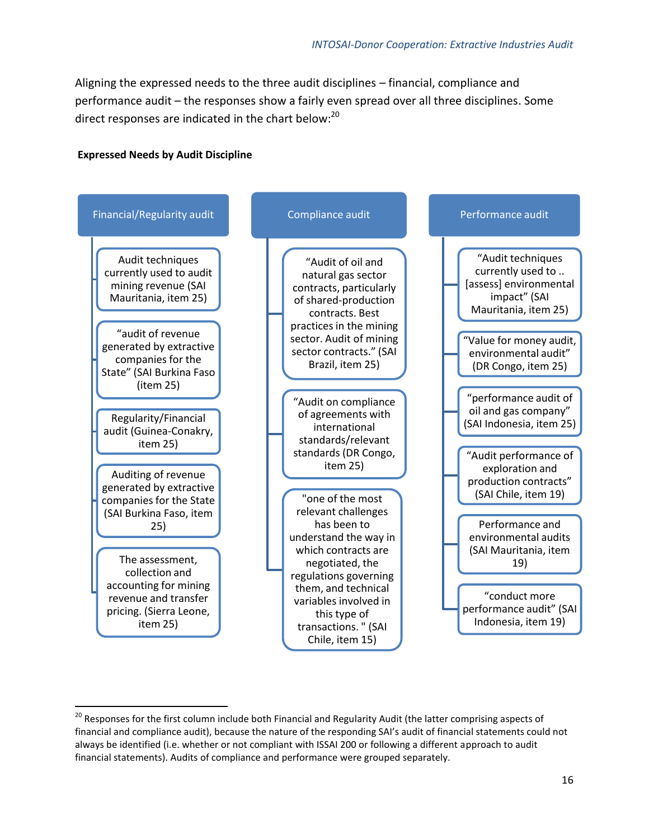Aligning the expressed needs to the three audit disciplines – financial, compliance and performance audit – the responses show a fairly even spread over all three disciplines. Some direct responses are indicated in the chart below:<sup>20</sup>

#### **Expressed Needs by Audit Discipline**

 $\overline{a}$ 



<sup>&</sup>lt;sup>20</sup> Responses for the first column include both Financial and Regularity Audit (the latter comprising aspects of financial and compliance audit), because the nature of the responding SAI's audit of financial statements could not always be identified (i.e. whether or not compliant with ISSAI 200 or following a different approach to audit financial statements). Audits of compliance and performance were grouped separately.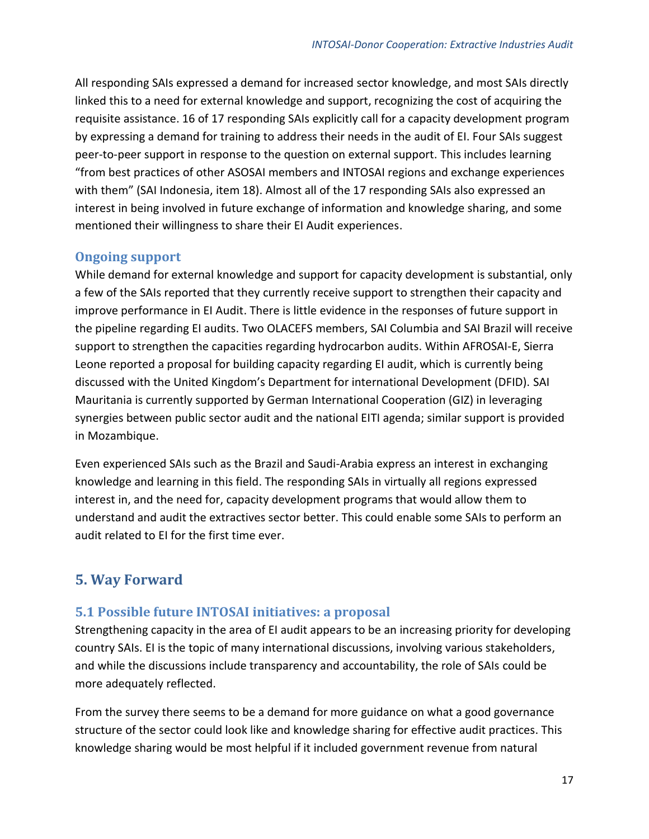All responding SAIs expressed a demand for increased sector knowledge, and most SAIs directly linked this to a need for external knowledge and support, recognizing the cost of acquiring the requisite assistance. 16 of 17 responding SAIs explicitly call for a capacity development program by expressing a demand for training to address their needs in the audit of EI. Four SAIs suggest peer-to-peer support in response to the question on external support. This includes learning "from best practices of other ASOSAI members and INTOSAI regions and exchange experiences with them" (SAI Indonesia, item 18). Almost all of the 17 responding SAIs also expressed an interest in being involved in future exchange of information and knowledge sharing, and some mentioned their willingness to share their EI Audit experiences.

#### <span id="page-19-0"></span>**Ongoing support**

While demand for external knowledge and support for capacity development is substantial, only a few of the SAIs reported that they currently receive support to strengthen their capacity and improve performance in EI Audit. There is little evidence in the responses of future support in the pipeline regarding EI audits. Two OLACEFS members, SAI Columbia and SAI Brazil will receive support to strengthen the capacities regarding hydrocarbon audits. Within AFROSAI-E, Sierra Leone reported a proposal for building capacity regarding EI audit, which is currently being discussed with the United Kingdom's Department for international Development (DFID). SAI Mauritania is currently supported by German International Cooperation (GIZ) in leveraging synergies between public sector audit and the national EITI agenda; similar support is provided in Mozambique.

Even experienced SAIs such as the Brazil and Saudi-Arabia express an interest in exchanging knowledge and learning in this field. The responding SAIs in virtually all regions expressed interest in, and the need for, capacity development programs that would allow them to understand and audit the extractives sector better. This could enable some SAIs to perform an audit related to EI for the first time ever.

#### <span id="page-19-1"></span>**5. Way Forward**

#### <span id="page-19-2"></span>**5.1 Possible future INTOSAI initiatives: a proposal**

Strengthening capacity in the area of EI audit appears to be an increasing priority for developing country SAIs. EI is the topic of many international discussions, involving various stakeholders, and while the discussions include transparency and accountability, the role of SAIs could be more adequately reflected.

From the survey there seems to be a demand for more guidance on what a good governance structure of the sector could look like and knowledge sharing for effective audit practices. This knowledge sharing would be most helpful if it included government revenue from natural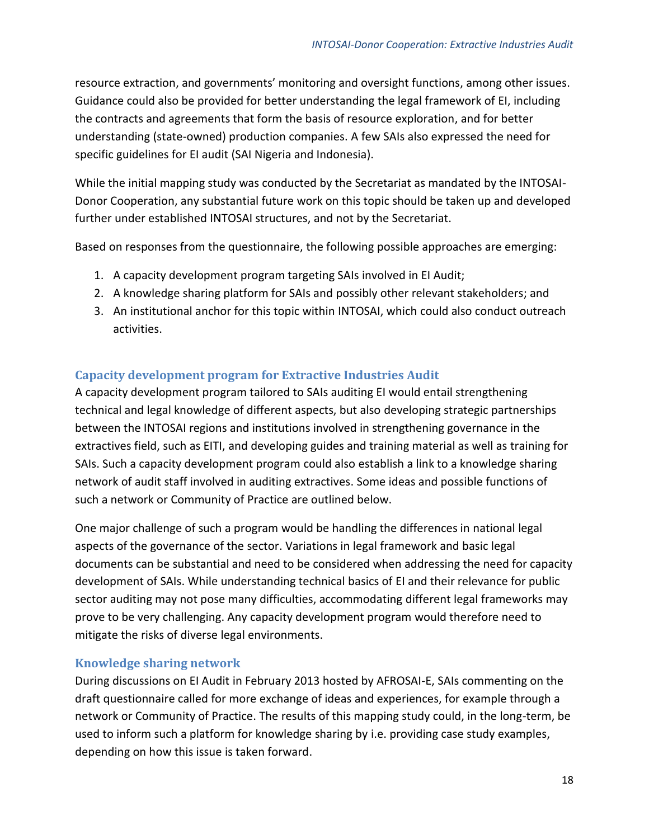resource extraction, and governments' monitoring and oversight functions, among other issues. Guidance could also be provided for better understanding the legal framework of EI, including the contracts and agreements that form the basis of resource exploration, and for better understanding (state-owned) production companies. A few SAIs also expressed the need for specific guidelines for EI audit (SAI Nigeria and Indonesia).

While the initial mapping study was conducted by the Secretariat as mandated by the INTOSAI-Donor Cooperation, any substantial future work on this topic should be taken up and developed further under established INTOSAI structures, and not by the Secretariat.

Based on responses from the questionnaire, the following possible approaches are emerging:

- 1. A capacity development program targeting SAIs involved in EI Audit;
- 2. A knowledge sharing platform for SAIs and possibly other relevant stakeholders; and
- 3. An institutional anchor for this topic within INTOSAI, which could also conduct outreach activities.

#### <span id="page-20-0"></span>**Capacity development program for Extractive Industries Audit**

A capacity development program tailored to SAIs auditing EI would entail strengthening technical and legal knowledge of different aspects, but also developing strategic partnerships between the INTOSAI regions and institutions involved in strengthening governance in the extractives field, such as EITI, and developing guides and training material as well as training for SAIs. Such a capacity development program could also establish a link to a knowledge sharing network of audit staff involved in auditing extractives. Some ideas and possible functions of such a network or Community of Practice are outlined below.

One major challenge of such a program would be handling the differences in national legal aspects of the governance of the sector. Variations in legal framework and basic legal documents can be substantial and need to be considered when addressing the need for capacity development of SAIs. While understanding technical basics of EI and their relevance for public sector auditing may not pose many difficulties, accommodating different legal frameworks may prove to be very challenging. Any capacity development program would therefore need to mitigate the risks of diverse legal environments.

#### <span id="page-20-1"></span>**Knowledge sharing network**

During discussions on EI Audit in February 2013 hosted by AFROSAI-E, SAIs commenting on the draft questionnaire called for more exchange of ideas and experiences, for example through a network or Community of Practice. The results of this mapping study could, in the long-term, be used to inform such a platform for knowledge sharing by i.e. providing case study examples, depending on how this issue is taken forward.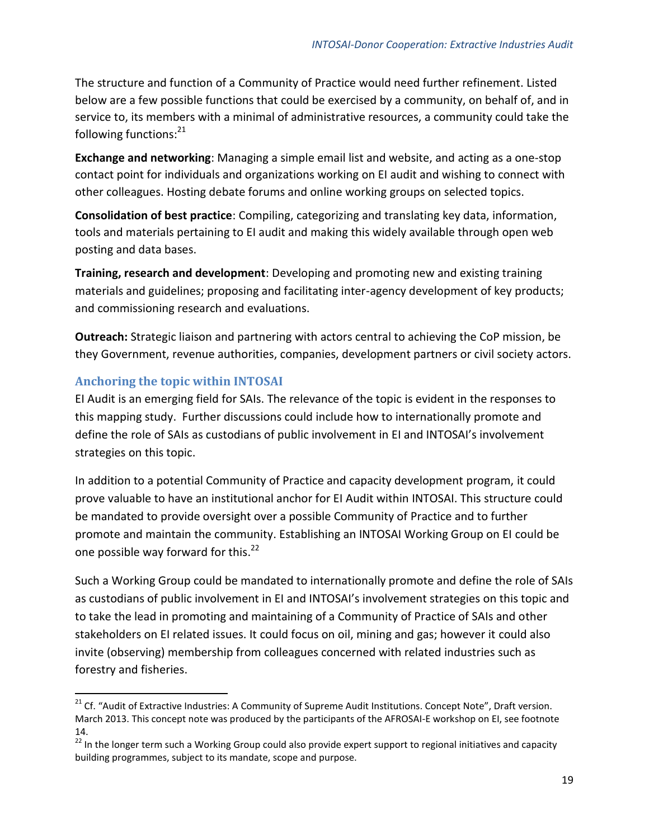The structure and function of a Community of Practice would need further refinement. Listed below are a few possible functions that could be exercised by a community, on behalf of, and in service to, its members with a minimal of administrative resources, a community could take the following functions:<sup>21</sup>

**Exchange and networking**: Managing a simple email list and website, and acting as a one-stop contact point for individuals and organizations working on EI audit and wishing to connect with other colleagues. Hosting debate forums and online working groups on selected topics.

**Consolidation of best practice**: Compiling, categorizing and translating key data, information, tools and materials pertaining to EI audit and making this widely available through open web posting and data bases.

**Training, research and development**: Developing and promoting new and existing training materials and guidelines; proposing and facilitating inter-agency development of key products; and commissioning research and evaluations.

**Outreach:** Strategic liaison and partnering with actors central to achieving the CoP mission, be they Government, revenue authorities, companies, development partners or civil society actors.

#### <span id="page-21-0"></span>**Anchoring the topic within INTOSAI**

 $\overline{a}$ 

EI Audit is an emerging field for SAIs. The relevance of the topic is evident in the responses to this mapping study. Further discussions could include how to internationally promote and define the role of SAIs as custodians of public involvement in EI and INTOSAI's involvement strategies on this topic.

In addition to a potential Community of Practice and capacity development program, it could prove valuable to have an institutional anchor for EI Audit within INTOSAI. This structure could be mandated to provide oversight over a possible Community of Practice and to further promote and maintain the community. Establishing an INTOSAI Working Group on EI could be one possible way forward for this.<sup>22</sup>

Such a Working Group could be mandated to internationally promote and define the role of SAIs as custodians of public involvement in EI and INTOSAI's involvement strategies on this topic and to take the lead in promoting and maintaining of a Community of Practice of SAIs and other stakeholders on EI related issues. It could focus on oil, mining and gas; however it could also invite (observing) membership from colleagues concerned with related industries such as forestry and fisheries.

<sup>&</sup>lt;sup>21</sup> Cf. "Audit of Extractive Industries: A Community of Supreme Audit Institutions. Concept Note", Draft version. March 2013. This concept note was produced by the participants of the AFROSAI-E workshop on EI, see footnote 14.

<sup>&</sup>lt;sup>22</sup> In the longer term such a Working Group could also provide expert support to regional initiatives and capacity building programmes, subject to its mandate, scope and purpose.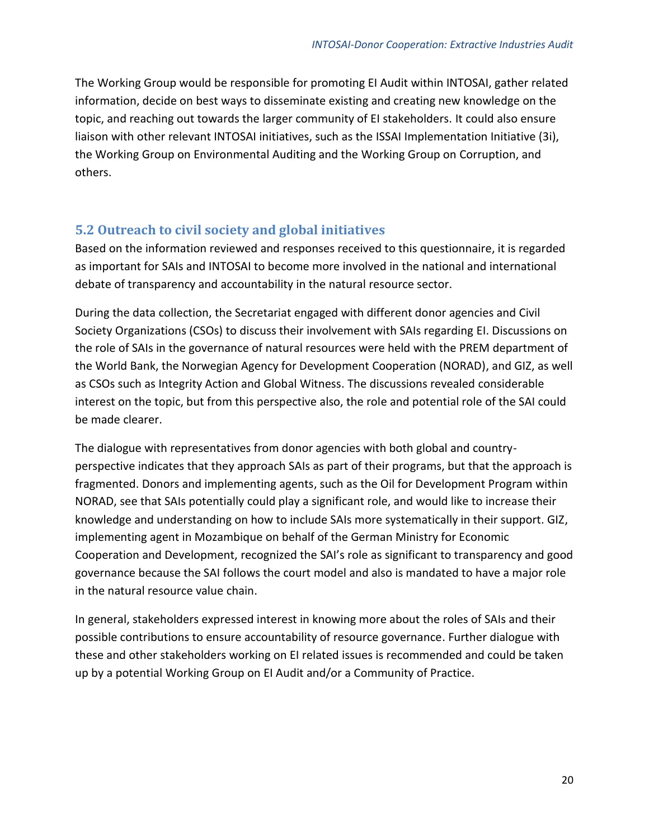The Working Group would be responsible for promoting EI Audit within INTOSAI, gather related information, decide on best ways to disseminate existing and creating new knowledge on the topic, and reaching out towards the larger community of EI stakeholders. It could also ensure liaison with other relevant INTOSAI initiatives, such as the ISSAI Implementation Initiative (3i), the Working Group on Environmental Auditing and the Working Group on Corruption, and others.

#### <span id="page-22-0"></span>**5.2 Outreach to civil society and global initiatives**

Based on the information reviewed and responses received to this questionnaire, it is regarded as important for SAIs and INTOSAI to become more involved in the national and international debate of transparency and accountability in the natural resource sector.

During the data collection, the Secretariat engaged with different donor agencies and Civil Society Organizations (CSOs) to discuss their involvement with SAIs regarding EI. Discussions on the role of SAIs in the governance of natural resources were held with the PREM department of the World Bank, the Norwegian Agency for Development Cooperation (NORAD), and GIZ, as well as CSOs such as Integrity Action and Global Witness. The discussions revealed considerable interest on the topic, but from this perspective also, the role and potential role of the SAI could be made clearer.

The dialogue with representatives from donor agencies with both global and countryperspective indicates that they approach SAIs as part of their programs, but that the approach is fragmented. Donors and implementing agents, such as the Oil for Development Program within NORAD, see that SAIs potentially could play a significant role, and would like to increase their knowledge and understanding on how to include SAIs more systematically in their support. GIZ, implementing agent in Mozambique on behalf of the German Ministry for Economic Cooperation and Development, recognized the SAI's role as significant to transparency and good governance because the SAI follows the court model and also is mandated to have a major role in the natural resource value chain.

<span id="page-22-1"></span>In general, stakeholders expressed interest in knowing more about the roles of SAIs and their possible contributions to ensure accountability of resource governance. Further dialogue with these and other stakeholders working on EI related issues is recommended and could be taken up by a potential Working Group on EI Audit and/or a Community of Practice.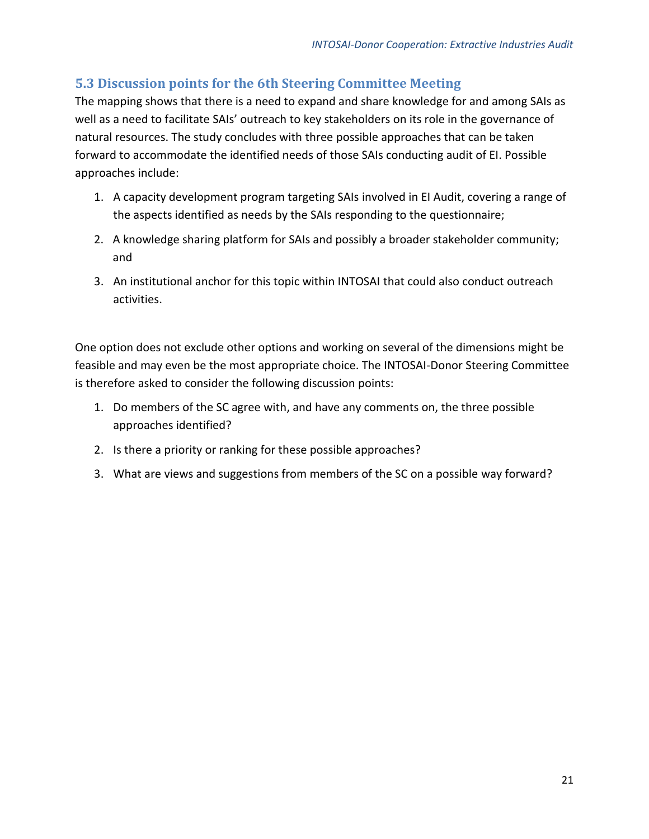#### **5.3 Discussion points for the 6th Steering Committee Meeting**

The mapping shows that there is a need to expand and share knowledge for and among SAIs as well as a need to facilitate SAIs' outreach to key stakeholders on its role in the governance of natural resources. The study concludes with three possible approaches that can be taken forward to accommodate the identified needs of those SAIs conducting audit of EI. Possible approaches include:

- 1. A capacity development program targeting SAIs involved in EI Audit, covering a range of the aspects identified as needs by the SAIs responding to the questionnaire;
- 2. A knowledge sharing platform for SAIs and possibly a broader stakeholder community; and
- 3. An institutional anchor for this topic within INTOSAI that could also conduct outreach activities.

One option does not exclude other options and working on several of the dimensions might be feasible and may even be the most appropriate choice. The INTOSAI-Donor Steering Committee is therefore asked to consider the following discussion points:

- 1. Do members of the SC agree with, and have any comments on, the three possible approaches identified?
- 2. Is there a priority or ranking for these possible approaches?
- 3. What are views and suggestions from members of the SC on a possible way forward?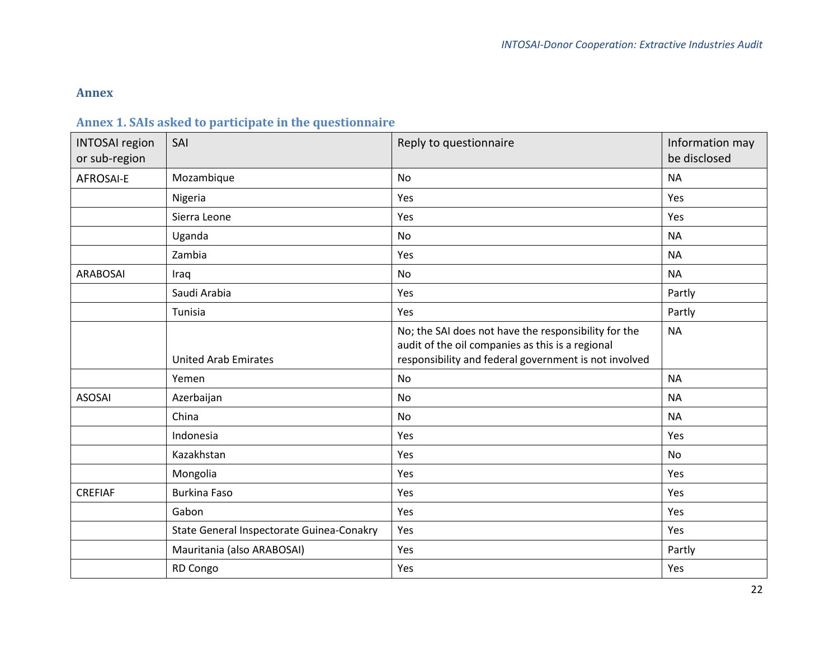#### **Annex**

## **Annex 1. SAIs asked to participate in the questionnaire**

<span id="page-24-1"></span><span id="page-24-0"></span>

| <b>INTOSAI</b> region<br>or sub-region | SAI                                       | Reply to questionnaire                                                                                                                                            | Information may<br>be disclosed |
|----------------------------------------|-------------------------------------------|-------------------------------------------------------------------------------------------------------------------------------------------------------------------|---------------------------------|
| <b>AFROSAI-E</b>                       | Mozambique                                | <b>No</b>                                                                                                                                                         | <b>NA</b>                       |
|                                        | Nigeria                                   | Yes                                                                                                                                                               | Yes                             |
|                                        | Sierra Leone                              | Yes                                                                                                                                                               | Yes                             |
|                                        | Uganda                                    | No                                                                                                                                                                | <b>NA</b>                       |
|                                        | Zambia                                    | Yes                                                                                                                                                               | <b>NA</b>                       |
| <b>ARABOSAI</b>                        | Iraq                                      | No                                                                                                                                                                | <b>NA</b>                       |
|                                        | Saudi Arabia                              | Yes                                                                                                                                                               | Partly                          |
|                                        | Tunisia                                   | Yes                                                                                                                                                               | Partly                          |
|                                        | <b>United Arab Emirates</b>               | No; the SAI does not have the responsibility for the<br>audit of the oil companies as this is a regional<br>responsibility and federal government is not involved | <b>NA</b>                       |
|                                        | Yemen                                     | <b>No</b>                                                                                                                                                         | <b>NA</b>                       |
| <b>ASOSAI</b>                          | Azerbaijan                                | <b>No</b>                                                                                                                                                         | <b>NA</b>                       |
|                                        | China                                     | <b>No</b>                                                                                                                                                         | <b>NA</b>                       |
|                                        | Indonesia                                 | Yes                                                                                                                                                               | Yes                             |
|                                        | Kazakhstan                                | Yes                                                                                                                                                               | <b>No</b>                       |
|                                        | Mongolia                                  | Yes                                                                                                                                                               | Yes                             |
| <b>CREFIAF</b>                         | <b>Burkina Faso</b>                       | Yes                                                                                                                                                               | Yes                             |
|                                        | Gabon                                     | Yes                                                                                                                                                               | Yes                             |
|                                        | State General Inspectorate Guinea-Conakry | Yes                                                                                                                                                               | Yes                             |
|                                        | Mauritania (also ARABOSAI)                | Yes                                                                                                                                                               | Partly                          |
|                                        | RD Congo                                  | Yes                                                                                                                                                               | Yes                             |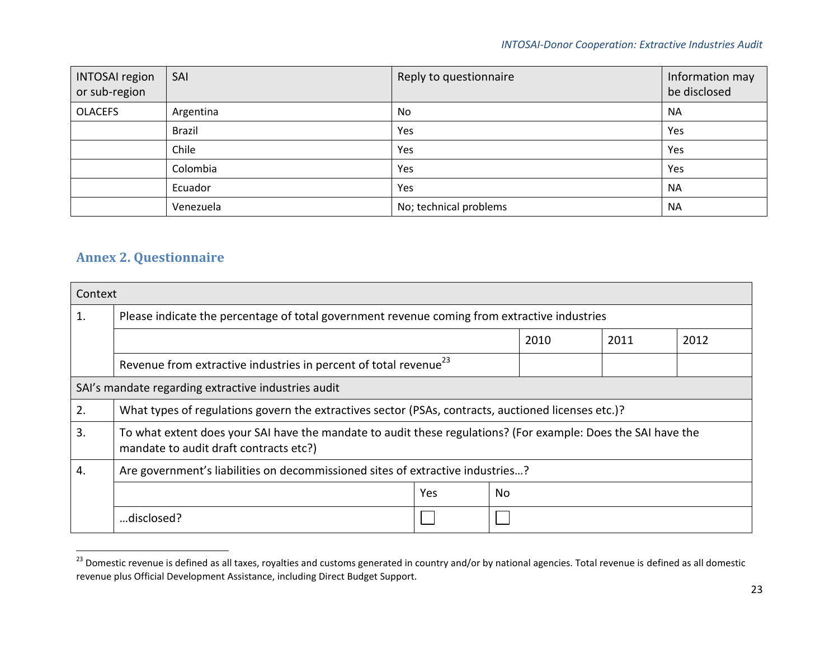#### *INTOSAI-Donor Cooperation: Extractive Industries Audit*

| <b>INTOSAI region</b><br>or sub-region | SAI           | Reply to questionnaire | Information may<br>be disclosed |
|----------------------------------------|---------------|------------------------|---------------------------------|
| <b>OLACEFS</b>                         | Argentina     | No                     | <b>NA</b>                       |
|                                        | <b>Brazil</b> | Yes                    | Yes                             |
|                                        | Chile         | Yes                    | Yes                             |
|                                        | Colombia      | Yes                    | Yes                             |
|                                        | Ecuador       | Yes                    | <b>NA</b>                       |
|                                        | Venezuela     | No; technical problems | <b>NA</b>                       |

#### **Annex 2. Questionnaire**

<span id="page-25-0"></span> $\overline{\phantom{a}}$ 

| Context |                                                                                                                                                         |     |     |  |  |
|---------|---------------------------------------------------------------------------------------------------------------------------------------------------------|-----|-----|--|--|
| 1.      | Please indicate the percentage of total government revenue coming from extractive industries                                                            |     |     |  |  |
|         | 2010<br>2011<br>2012                                                                                                                                    |     |     |  |  |
|         | Revenue from extractive industries in percent of total revenue <sup>23</sup>                                                                            |     |     |  |  |
|         | SAI's mandate regarding extractive industries audit                                                                                                     |     |     |  |  |
| 2.      | What types of regulations govern the extractives sector (PSAs, contracts, auctioned licenses etc.)?                                                     |     |     |  |  |
| 3.      | To what extent does your SAI have the mandate to audit these regulations? (For example: Does the SAI have the<br>mandate to audit draft contracts etc?) |     |     |  |  |
| 4.      | Are government's liabilities on decommissioned sites of extractive industries?                                                                          |     |     |  |  |
|         |                                                                                                                                                         | Yes | No. |  |  |
|         | disclosed?                                                                                                                                              |     |     |  |  |

<sup>&</sup>lt;sup>23</sup> Domestic revenue is defined as all taxes, royalties and customs generated in country and/or by national agencies. Total revenue is defined as all domestic revenue plus Official Development Assistance, including Direct Budget Support.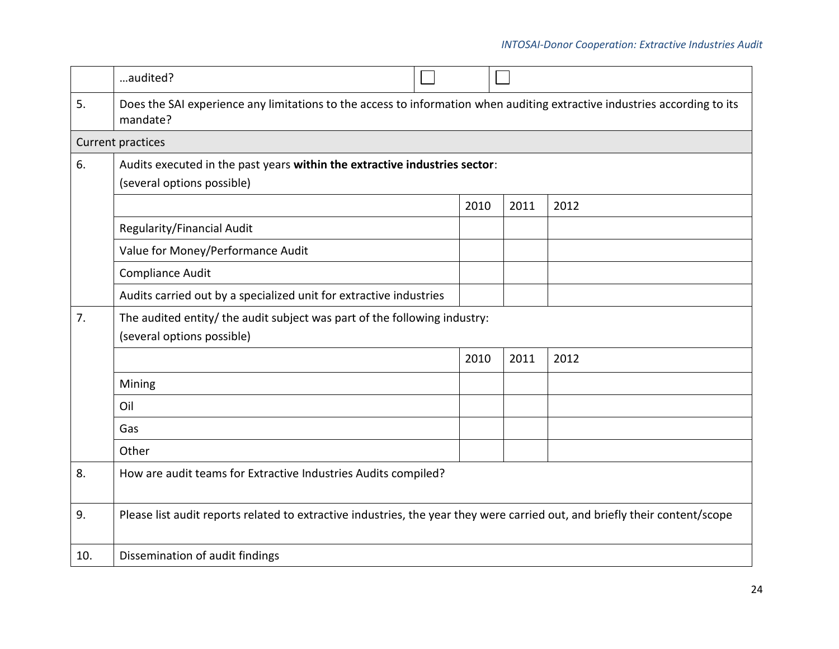#### *INTOSAI-Donor Cooperation: Extractive Industries Audit*

|     | audited?                                                                                                                              |      |      |      |
|-----|---------------------------------------------------------------------------------------------------------------------------------------|------|------|------|
| 5.  | Does the SAI experience any limitations to the access to information when auditing extractive industries according to its<br>mandate? |      |      |      |
|     | Current practices                                                                                                                     |      |      |      |
| 6.  | Audits executed in the past years within the extractive industries sector:                                                            |      |      |      |
|     | (several options possible)                                                                                                            |      |      |      |
|     |                                                                                                                                       | 2010 | 2011 | 2012 |
|     | Regularity/Financial Audit                                                                                                            |      |      |      |
|     | Value for Money/Performance Audit                                                                                                     |      |      |      |
|     | <b>Compliance Audit</b>                                                                                                               |      |      |      |
|     | Audits carried out by a specialized unit for extractive industries                                                                    |      |      |      |
| 7.  | The audited entity/ the audit subject was part of the following industry:                                                             |      |      |      |
|     | (several options possible)                                                                                                            |      |      |      |
|     |                                                                                                                                       | 2010 | 2011 | 2012 |
|     | Mining                                                                                                                                |      |      |      |
|     | Oil                                                                                                                                   |      |      |      |
|     | Gas                                                                                                                                   |      |      |      |
|     | Other                                                                                                                                 |      |      |      |
| 8.  | How are audit teams for Extractive Industries Audits compiled?                                                                        |      |      |      |
| 9.  | Please list audit reports related to extractive industries, the year they were carried out, and briefly their content/scope           |      |      |      |
| 10. | Dissemination of audit findings                                                                                                       |      |      |      |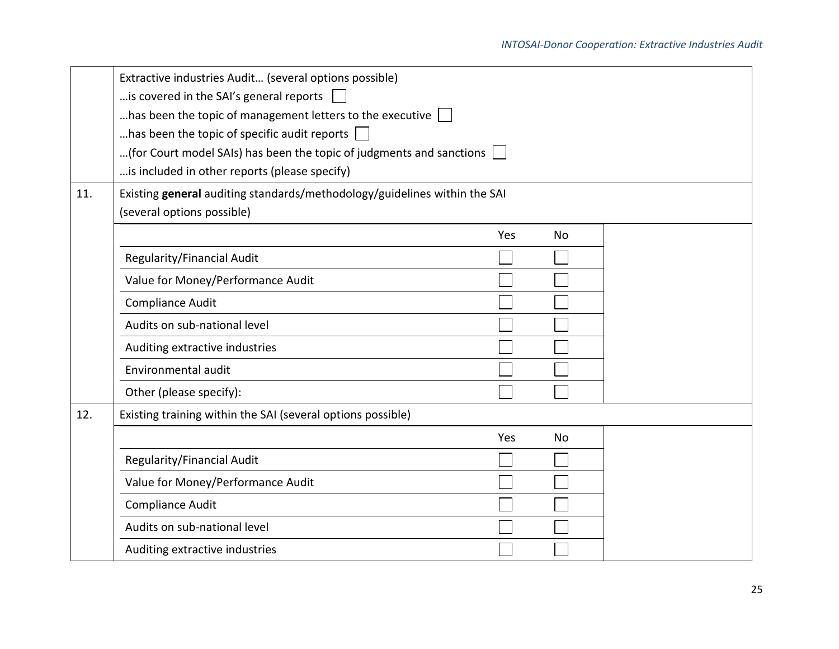|     | Extractive industries Audit (several options possible)                         |     |    |  |  |
|-----|--------------------------------------------------------------------------------|-----|----|--|--|
|     | is covered in the SAI's general reports                                        |     |    |  |  |
|     | has been the topic of management letters to the executive $\Box$               |     |    |  |  |
|     | has been the topic of specific audit reports $\Box$                            |     |    |  |  |
|     | (for Court model SAIs) has been the topic of judgments and sanctions $\,$ $\,$ |     |    |  |  |
|     | is included in other reports (please specify)                                  |     |    |  |  |
| 11. | Existing general auditing standards/methodology/guidelines within the SAI      |     |    |  |  |
|     | (several options possible)                                                     |     |    |  |  |
|     |                                                                                | Yes | No |  |  |
|     | Regularity/Financial Audit                                                     |     |    |  |  |
|     | Value for Money/Performance Audit                                              |     |    |  |  |
|     | Compliance Audit                                                               |     |    |  |  |
|     | Audits on sub-national level                                                   |     |    |  |  |
|     | Auditing extractive industries                                                 |     |    |  |  |
|     | Environmental audit                                                            |     |    |  |  |
|     | Other (please specify):                                                        |     |    |  |  |
| 12. | Existing training within the SAI (several options possible)                    |     |    |  |  |
|     |                                                                                | Yes | No |  |  |
|     | Regularity/Financial Audit                                                     |     |    |  |  |
|     | Value for Money/Performance Audit                                              |     |    |  |  |
|     | Compliance Audit                                                               |     |    |  |  |
|     | Audits on sub-national level                                                   |     |    |  |  |
|     | Auditing extractive industries                                                 |     |    |  |  |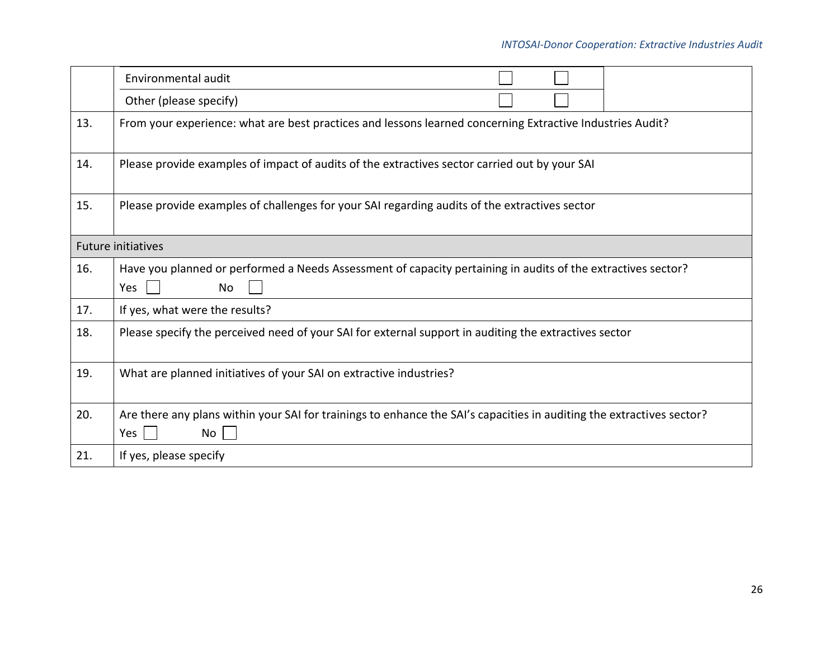|     | Environmental audit                                                                                                                |
|-----|------------------------------------------------------------------------------------------------------------------------------------|
|     | Other (please specify)                                                                                                             |
| 13. | From your experience: what are best practices and lessons learned concerning Extractive Industries Audit?                          |
| 14. | Please provide examples of impact of audits of the extractives sector carried out by your SAI                                      |
| 15. | Please provide examples of challenges for your SAI regarding audits of the extractives sector                                      |
|     | <b>Future initiatives</b>                                                                                                          |
| 16. | Have you planned or performed a Needs Assessment of capacity pertaining in audits of the extractives sector?<br>Yes<br>No          |
| 17. | If yes, what were the results?                                                                                                     |
| 18. | Please specify the perceived need of your SAI for external support in auditing the extractives sector                              |
| 19. | What are planned initiatives of your SAI on extractive industries?                                                                 |
| 20. | Are there any plans within your SAI for trainings to enhance the SAI's capacities in auditing the extractives sector?<br>Yes<br>No |
| 21. | If yes, please specify                                                                                                             |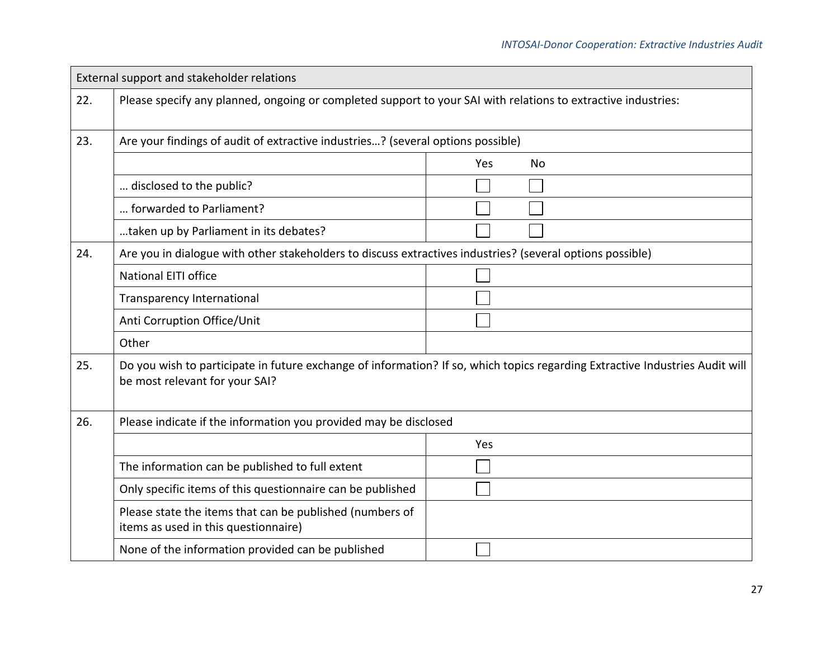| External support and stakeholder relations |                                                                                                               |                                                                                                                              |  |
|--------------------------------------------|---------------------------------------------------------------------------------------------------------------|------------------------------------------------------------------------------------------------------------------------------|--|
| 22.                                        | Please specify any planned, ongoing or completed support to your SAI with relations to extractive industries: |                                                                                                                              |  |
| 23.                                        | Are your findings of audit of extractive industries? (several options possible)                               |                                                                                                                              |  |
|                                            |                                                                                                               | Yes<br><b>No</b>                                                                                                             |  |
|                                            | disclosed to the public?                                                                                      |                                                                                                                              |  |
|                                            | forwarded to Parliament?                                                                                      |                                                                                                                              |  |
|                                            | taken up by Parliament in its debates?                                                                        |                                                                                                                              |  |
| 24.                                        | Are you in dialogue with other stakeholders to discuss extractives industries? (several options possible)     |                                                                                                                              |  |
|                                            | <b>National EITI office</b>                                                                                   |                                                                                                                              |  |
|                                            | <b>Transparency International</b>                                                                             |                                                                                                                              |  |
|                                            | Anti Corruption Office/Unit                                                                                   |                                                                                                                              |  |
|                                            | Other                                                                                                         |                                                                                                                              |  |
| 25.                                        | be most relevant for your SAI?                                                                                | Do you wish to participate in future exchange of information? If so, which topics regarding Extractive Industries Audit will |  |
| 26.                                        | Please indicate if the information you provided may be disclosed                                              |                                                                                                                              |  |
|                                            |                                                                                                               | Yes                                                                                                                          |  |
|                                            | The information can be published to full extent                                                               |                                                                                                                              |  |
|                                            | Only specific items of this questionnaire can be published                                                    |                                                                                                                              |  |
|                                            | Please state the items that can be published (numbers of<br>items as used in this questionnaire)              |                                                                                                                              |  |
|                                            | None of the information provided can be published                                                             |                                                                                                                              |  |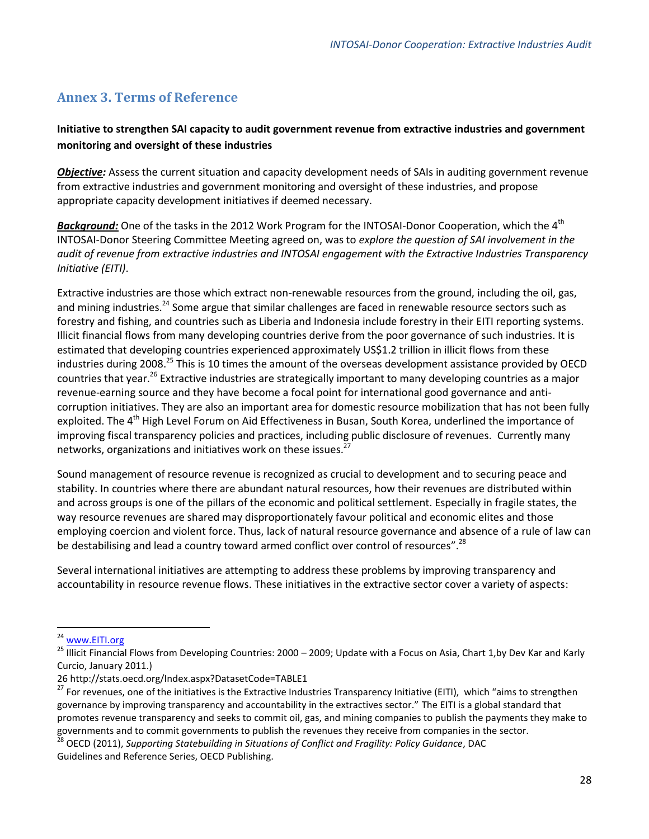#### <span id="page-30-0"></span>**Annex 3. Terms of Reference**

#### **Initiative to strengthen SAI capacity to audit government revenue from extractive industries and government monitoring and oversight of these industries**

*Objective:* Assess the current situation and capacity development needs of SAIs in auditing government revenue from extractive industries and government monitoring and oversight of these industries, and propose appropriate capacity development initiatives if deemed necessary.

**Background:** One of the tasks in the 2012 Work Program for the INTOSAI-Donor Cooperation, which the 4<sup>th</sup> INTOSAI-Donor Steering Committee Meeting agreed on, was to *explore the question of SAI involvement in the audit of revenue from extractive industries and INTOSAI engagement with the Extractive Industries Transparency Initiative (EITI)*.

Extractive industries are those which extract non-renewable resources from the ground, including the oil, gas, and mining industries.<sup>24</sup> Some argue that similar challenges are faced in renewable resource sectors such as forestry and fishing, and countries such as Liberia and Indonesia include forestry in their EITI reporting systems. Illicit financial flows from many developing countries derive from the poor governance of such industries. It is estimated that developing countries experienced approximately US\$1.2 trillion in illicit flows from these industries during 2008.<sup>25</sup> This is 10 times the amount of the overseas development assistance provided by OECD countries that year.<sup>26</sup> Extractive industries are strategically important to many developing countries as a major revenue-earning source and they have become a focal point for international good governance and anticorruption initiatives. They are also an important area for domestic resource mobilization that has not been fully exploited. The 4<sup>th</sup> High Level Forum on Aid Effectiveness in Busan, South Korea, underlined the importance of improving fiscal transparency policies and practices, including public disclosure of revenues. Currently many networks, organizations and initiatives work on these issues.<sup>27</sup>

Sound management of resource revenue is recognized as crucial to development and to securing peace and stability. In countries where there are abundant natural resources, how their revenues are distributed within and across groups is one of the pillars of the economic and political settlement. Especially in fragile states, the way resource revenues are shared may disproportionately favour political and economic elites and those employing coercion and violent force. Thus, lack of natural resource governance and absence of a rule of law can be destabilising and lead a country toward armed conflict over control of resources".<sup>28</sup>

Several international initiatives are attempting to address these problems by improving transparency and accountability in resource revenue flows. These initiatives in the extractive sector cover a variety of aspects:

 $\overline{a}$ 

<sup>&</sup>lt;sup>24</sup> [www.EITI.org](http://www.eiti.org/)

<sup>&</sup>lt;sup>25</sup> Illicit Financial Flows from Developing Countries: 2000 – 2009; Update with a Focus on Asia, Chart 1,by Dev Kar and Karly Curcio, January 2011.)

<sup>26</sup> http://stats.oecd.org/Index.aspx?DatasetCode=TABLE1

<sup>27</sup> For revenues, one of the initiatives is the Extractive Industries Transparency Initiative (EITI), which "aims to strengthen governance by improving transparency and accountability in the extractives sector." The EITI is a global standard that promotes revenue transparency and seeks to commit oil, gas, and mining companies to publish the payments they make to governments and to commit governments to publish the revenues they receive from companies in the sector.

<sup>28</sup> OECD (2011), *Supporting Statebuilding in Situations of Conflict and Fragility: Policy Guidance*, DAC Guidelines and Reference Series, OECD Publishing.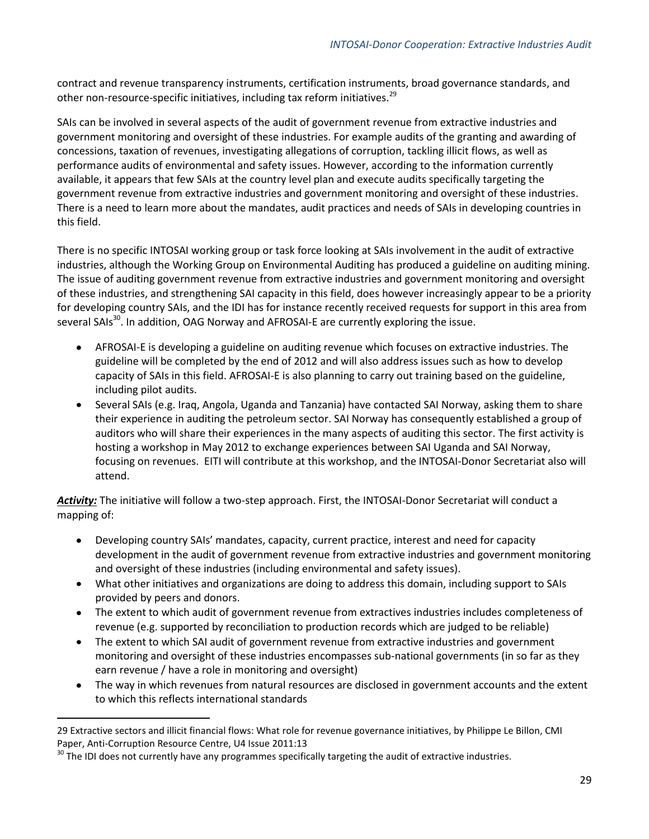contract and revenue transparency instruments, certification instruments, broad governance standards, and other non-resource-specific initiatives, including tax reform initiatives.<sup>29</sup>

SAIs can be involved in several aspects of the audit of government revenue from extractive industries and government monitoring and oversight of these industries. For example audits of the granting and awarding of concessions, taxation of revenues, investigating allegations of corruption, tackling illicit flows, as well as performance audits of environmental and safety issues. However, according to the information currently available, it appears that few SAIs at the country level plan and execute audits specifically targeting the government revenue from extractive industries and government monitoring and oversight of these industries. There is a need to learn more about the mandates, audit practices and needs of SAIs in developing countries in this field.

There is no specific INTOSAI working group or task force looking at SAIs involvement in the audit of extractive industries, although the Working Group on Environmental Auditing has produced a guideline on auditing mining. The issue of auditing government revenue from extractive industries and government monitoring and oversight of these industries, and strengthening SAI capacity in this field, does however increasingly appear to be a priority for developing country SAIs, and the IDI has for instance recently received requests for support in this area from several SAIs<sup>30</sup>. In addition, OAG Norway and AFROSAI-E are currently exploring the issue.

- AFROSAI-E is developing a guideline on auditing revenue which focuses on extractive industries. The  $\bullet$ guideline will be completed by the end of 2012 and will also address issues such as how to develop capacity of SAIs in this field. AFROSAI-E is also planning to carry out training based on the guideline, including pilot audits.
- $\bullet$ Several SAIs (e.g. Iraq, Angola, Uganda and Tanzania) have contacted SAI Norway, asking them to share their experience in auditing the petroleum sector. SAI Norway has consequently established a group of auditors who will share their experiences in the many aspects of auditing this sector. The first activity is hosting a workshop in May 2012 to exchange experiences between SAI Uganda and SAI Norway, focusing on revenues. EITI will contribute at this workshop, and the INTOSAI-Donor Secretariat also will attend.

*Activity:* The initiative will follow a two-step approach. First, the INTOSAI-Donor Secretariat will conduct a mapping of:

- Developing country SAIs' mandates, capacity, current practice, interest and need for capacity development in the audit of government revenue from extractive industries and government monitoring and oversight of these industries (including environmental and safety issues).
- What other initiatives and organizations are doing to address this domain, including support to SAIs provided by peers and donors.
- The extent to which audit of government revenue from extractives industries includes completeness of revenue (e.g. supported by reconciliation to production records which are judged to be reliable)
- The extent to which SAI audit of government revenue from extractive industries and government monitoring and oversight of these industries encompasses sub-national governments (in so far as they earn revenue / have a role in monitoring and oversight)
- The way in which revenues from natural resources are disclosed in government accounts and the extent to which this reflects international standards

 $\overline{a}$ 

<sup>29</sup> Extractive sectors and illicit financial flows: What role for revenue governance initiatives, by Philippe Le Billon, CMI Paper, Anti-Corruption Resource Centre, U4 Issue 2011:13

<sup>&</sup>lt;sup>30</sup> The IDI does not currently have any programmes specifically targeting the audit of extractive industries.